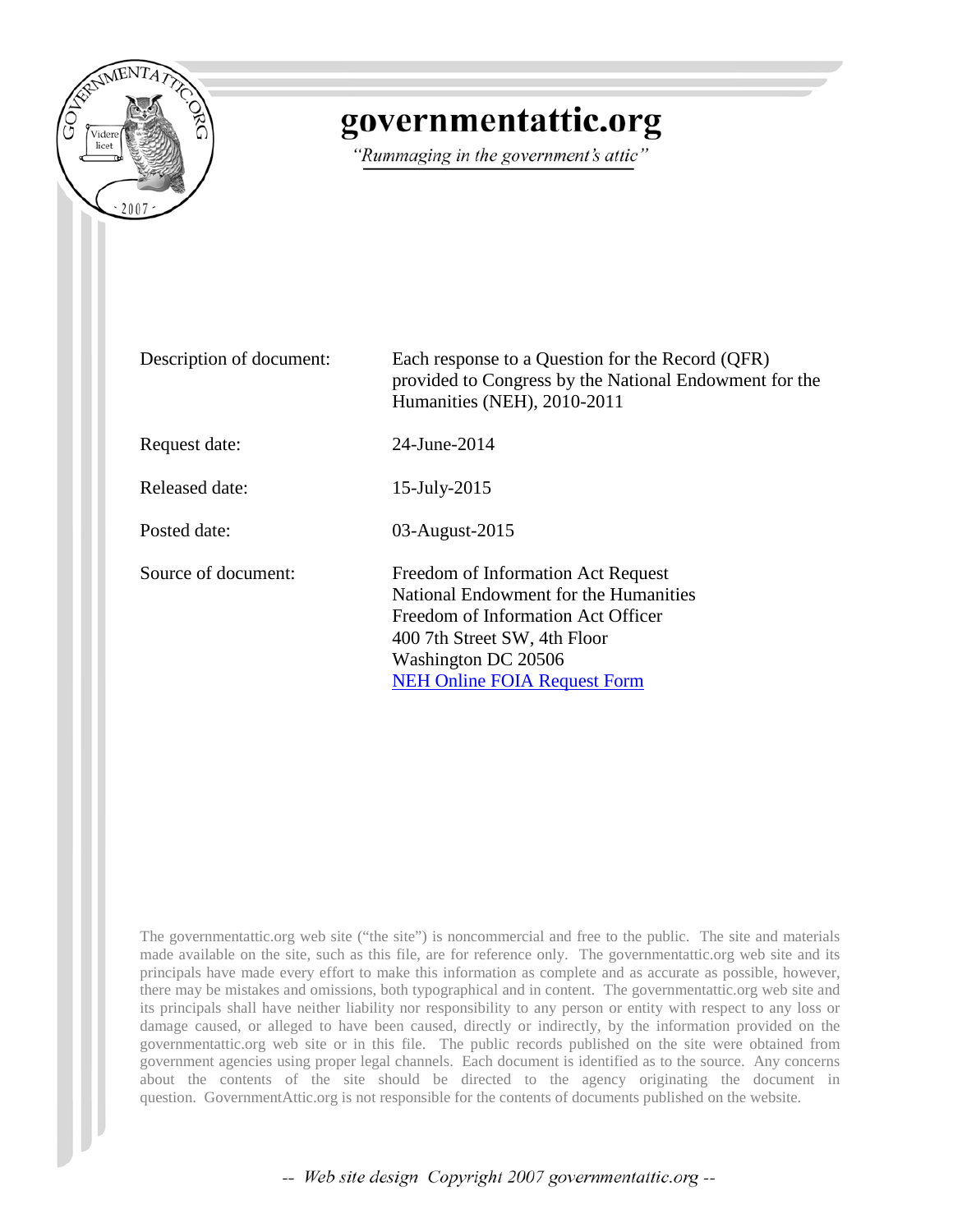

# governmentattic.org

"Rummaging in the government's attic"

| Description of document: | Each response to a Question for the Record (QFR)<br>provided to Congress by the National Endowment for the<br>Humanities (NEH), 2010-2011                                                                       |
|--------------------------|-----------------------------------------------------------------------------------------------------------------------------------------------------------------------------------------------------------------|
| Request date:            | 24-June-2014                                                                                                                                                                                                    |
| Released date:           | 15-July-2015                                                                                                                                                                                                    |
| Posted date:             | 03-August-2015                                                                                                                                                                                                  |
| Source of document:      | Freedom of Information Act Request<br>National Endowment for the Humanities<br>Freedom of Information Act Officer<br>400 7th Street SW, 4th Floor<br>Washington DC 20506<br><b>NEH Online FOIA Request Form</b> |

The governmentattic.org web site ("the site") is noncommercial and free to the public. The site and materials made available on the site, such as this file, are for reference only. The governmentattic.org web site and its principals have made every effort to make this information as complete and as accurate as possible, however, there may be mistakes and omissions, both typographical and in content. The governmentattic.org web site and its principals shall have neither liability nor responsibility to any person or entity with respect to any loss or damage caused, or alleged to have been caused, directly or indirectly, by the information provided on the governmentattic.org web site or in this file. The public records published on the site were obtained from government agencies using proper legal channels. Each document is identified as to the source. Any concerns about the contents of the site should be directed to the agency originating the document in question. GovernmentAttic.org is not responsible for the contents of documents published on the website.

-- Web site design Copyright 2007 governmentattic.org --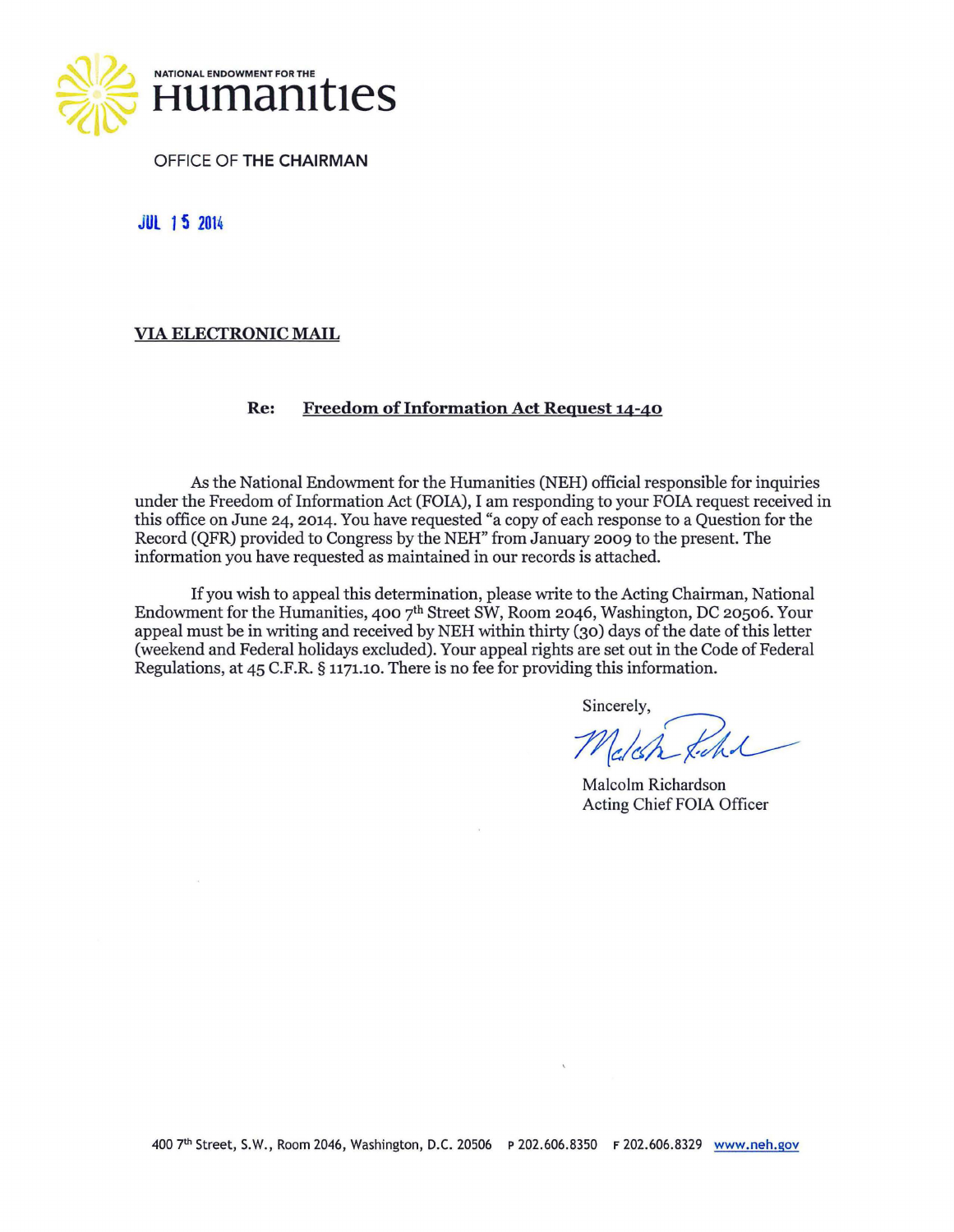

OFFICE OF **THE CHAIRMAN** 

**JUL 15 <sup>2014</sup>**

### **VIA ELECTRONIC MAIL**

#### **Re: Freedom of Information Act Request 14-40**

*As* the National Endowment for the Humanities (NEH) official responsible for inquiries under the Freedom of Information Act (FOIA), I am responding to your FOIA request received in this office on June 24, 2014. You have requested "a copy of each response to a Question for the Record (QFR) provided to Congress by the NEH" from January 2009 to the present. The information you have requested as maintained in our records is attached.

If you wish to appeal this determination, please write to the Acting Chairman, National Endowment for the Humanities, 400  $7<sup>th</sup>$  Street SW, Room 2046, Washington, DC 20506. Your appeal must be in writing and received by NEH within thirty (30) days of the date of this letter (weekend and Federal holidays excluded). Your appeal rights are set out in the Code of Federal Regulations, at 45 C.F.R. § 1171.10. There is no fee for providing this information.

Sincerely,

 $M$ c/ch Kichol

Malcolm Richardson Acting Chief FOIA Officer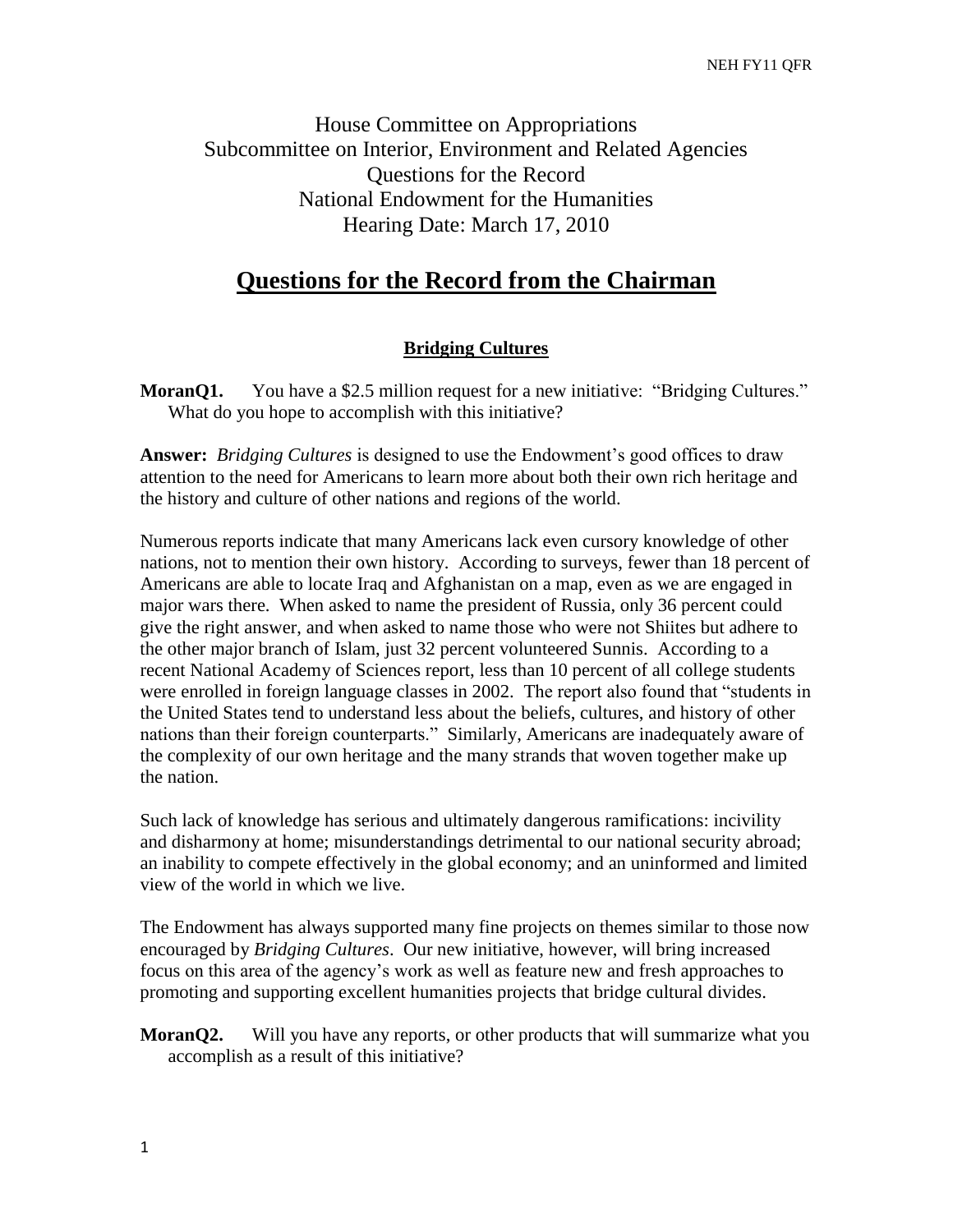House Committee on Appropriations Subcommittee on Interior, Environment and Related Agencies Questions for the Record National Endowment for the Humanities Hearing Date: March 17, 2010

# **Questions for the Record from the Chairman**

### **Bridging Cultures**

**MoranQ1.** You have a \$2.5 million request for a new initiative: "Bridging Cultures." What do you hope to accomplish with this initiative?

**Answer:** *Bridging Cultures* is designed to use the Endowment's good offices to draw attention to the need for Americans to learn more about both their own rich heritage and the history and culture of other nations and regions of the world.

Numerous reports indicate that many Americans lack even cursory knowledge of other nations, not to mention their own history. According to surveys, fewer than 18 percent of Americans are able to locate Iraq and Afghanistan on a map, even as we are engaged in major wars there. When asked to name the president of Russia, only 36 percent could give the right answer, and when asked to name those who were not Shiites but adhere to the other major branch of Islam, just 32 percent volunteered Sunnis. According to a recent National Academy of Sciences report, less than 10 percent of all college students were enrolled in foreign language classes in 2002. The report also found that "students in the United States tend to understand less about the beliefs, cultures, and history of other nations than their foreign counterparts." Similarly, Americans are inadequately aware of the complexity of our own heritage and the many strands that woven together make up the nation.

Such lack of knowledge has serious and ultimately dangerous ramifications: incivility and disharmony at home; misunderstandings detrimental to our national security abroad; an inability to compete effectively in the global economy; and an uninformed and limited view of the world in which we live.

The Endowment has always supported many fine projects on themes similar to those now encouraged by *Bridging Cultures*. Our new initiative, however, will bring increased focus on this area of the agency's work as well as feature new and fresh approaches to promoting and supporting excellent humanities projects that bridge cultural divides.

**MoranQ2.** Will you have any reports, or other products that will summarize what you accomplish as a result of this initiative?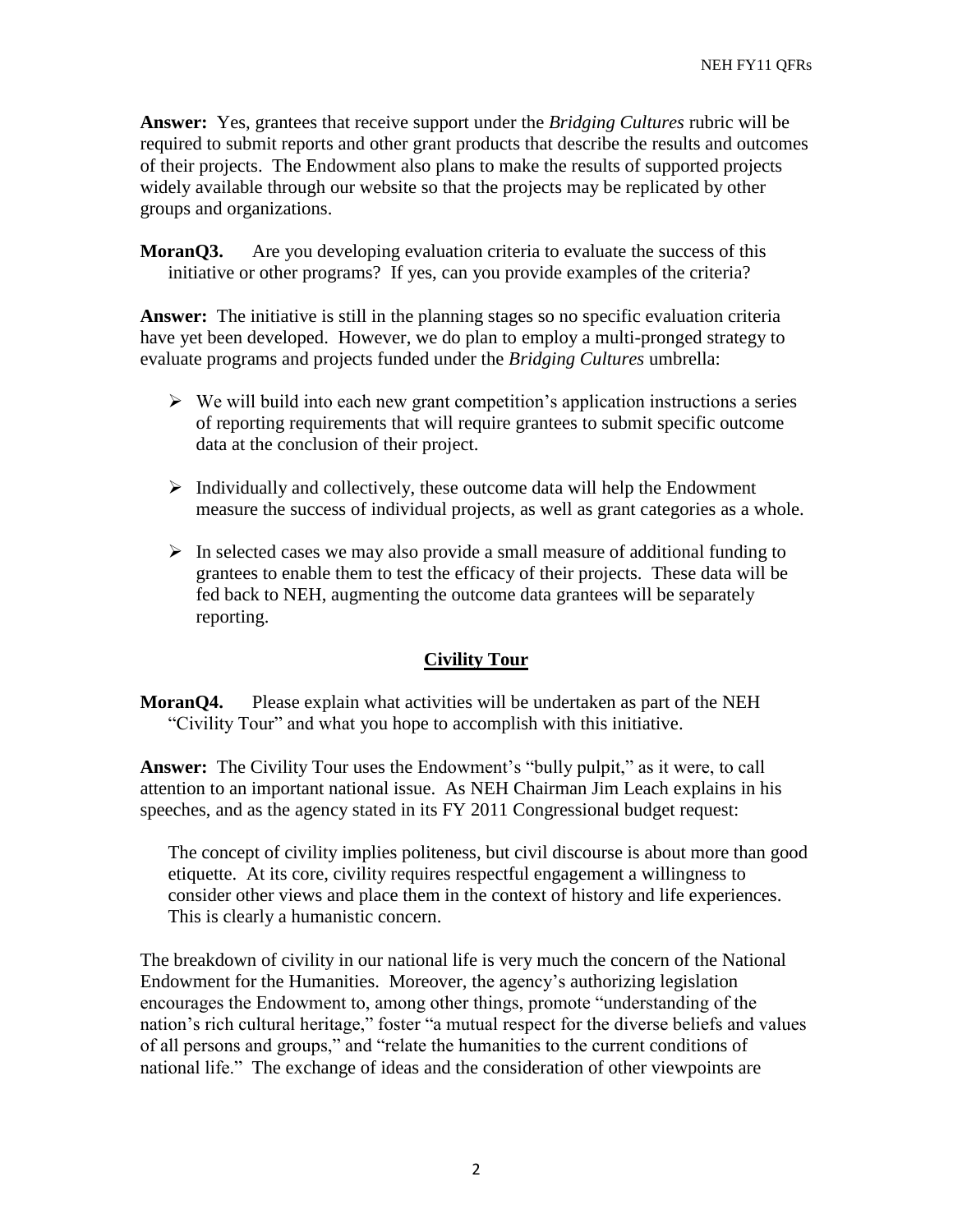**Answer:** Yes, grantees that receive support under the *Bridging Cultures* rubric will be required to submit reports and other grant products that describe the results and outcomes of their projects. The Endowment also plans to make the results of supported projects widely available through our website so that the projects may be replicated by other groups and organizations.

**MoranO3.** Are you developing evaluation criteria to evaluate the success of this initiative or other programs? If yes, can you provide examples of the criteria?

**Answer:** The initiative is still in the planning stages so no specific evaluation criteria have yet been developed. However, we do plan to employ a multi-pronged strategy to evaluate programs and projects funded under the *Bridging Cultures* umbrella:

- $\triangleright$  We will build into each new grant competition's application instructions a series of reporting requirements that will require grantees to submit specific outcome data at the conclusion of their project.
- $\triangleright$  Individually and collectively, these outcome data will help the Endowment measure the success of individual projects, as well as grant categories as a whole.
- $\triangleright$  In selected cases we may also provide a small measure of additional funding to grantees to enable them to test the efficacy of their projects. These data will be fed back to NEH, augmenting the outcome data grantees will be separately reporting.

### **Civility Tour**

**MoranO4.** Please explain what activities will be undertaken as part of the NEH "Civility Tour" and what you hope to accomplish with this initiative.

**Answer:** The Civility Tour uses the Endowment's "bully pulpit," as it were, to call attention to an important national issue. As NEH Chairman Jim Leach explains in his speeches, and as the agency stated in its FY 2011 Congressional budget request:

The concept of civility implies politeness, but civil discourse is about more than good etiquette. At its core, civility requires respectful engagement a willingness to consider other views and place them in the context of history and life experiences. This is clearly a humanistic concern.

The breakdown of civility in our national life is very much the concern of the National Endowment for the Humanities. Moreover, the agency's authorizing legislation encourages the Endowment to, among other things, promote "understanding of the nation's rich cultural heritage," foster "a mutual respect for the diverse beliefs and values of all persons and groups," and "relate the humanities to the current conditions of national life." The exchange of ideas and the consideration of other viewpoints are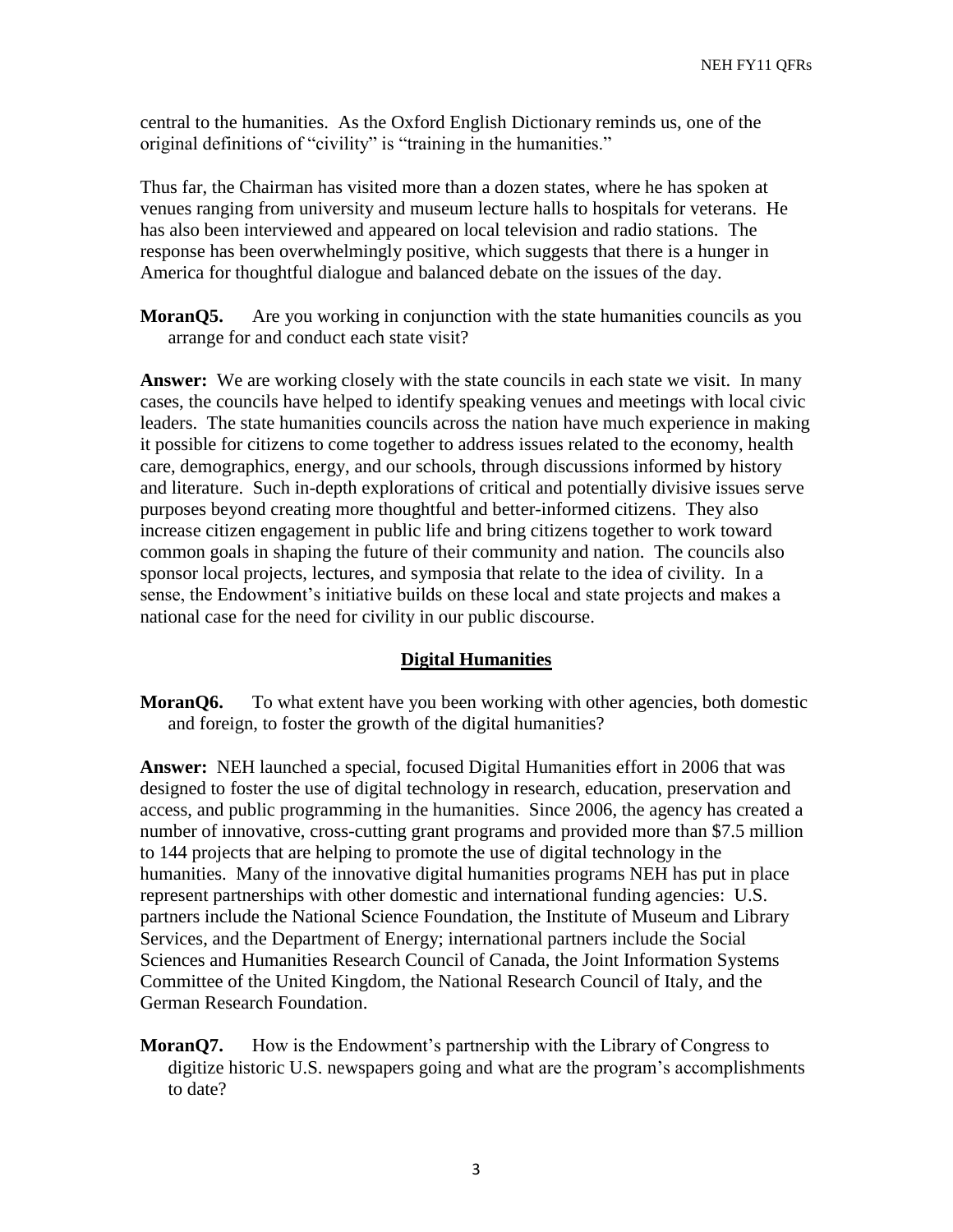central to the humanities. As the Oxford English Dictionary reminds us, one of the original definitions of "civility" is "training in the humanities."

Thus far, the Chairman has visited more than a dozen states, where he has spoken at venues ranging from university and museum lecture halls to hospitals for veterans. He has also been interviewed and appeared on local television and radio stations. The response has been overwhelmingly positive, which suggests that there is a hunger in America for thoughtful dialogue and balanced debate on the issues of the day.

**MoranQ5.** Are you working in conjunction with the state humanities councils as you arrange for and conduct each state visit?

**Answer:** We are working closely with the state councils in each state we visit. In many cases, the councils have helped to identify speaking venues and meetings with local civic leaders. The state humanities councils across the nation have much experience in making it possible for citizens to come together to address issues related to the economy, health care, demographics, energy, and our schools, through discussions informed by history and literature. Such in-depth explorations of critical and potentially divisive issues serve purposes beyond creating more thoughtful and better-informed citizens. They also increase citizen engagement in public life and bring citizens together to work toward common goals in shaping the future of their community and nation. The councils also sponsor local projects, lectures, and symposia that relate to the idea of civility. In a sense, the Endowment's initiative builds on these local and state projects and makes a national case for the need for civility in our public discourse.

#### **Digital Humanities**

**MoranO6.** To what extent have you been working with other agencies, both domestic and foreign, to foster the growth of the digital humanities?

**Answer:** NEH launched a special, focused Digital Humanities effort in 2006 that was designed to foster the use of digital technology in research, education, preservation and access, and public programming in the humanities. Since 2006, the agency has created a number of innovative, cross-cutting grant programs and provided more than \$7.5 million to 144 projects that are helping to promote the use of digital technology in the humanities. Many of the innovative digital humanities programs NEH has put in place represent partnerships with other domestic and international funding agencies: U.S. partners include the National Science Foundation, the Institute of Museum and Library Services, and the Department of Energy; international partners include the Social Sciences and Humanities Research Council of Canada, the Joint Information Systems Committee of the United Kingdom, the National Research Council of Italy, and the German Research Foundation.

**MoranQ7.** How is the Endowment's partnership with the Library of Congress to digitize historic U.S. newspapers going and what are the program's accomplishments to date?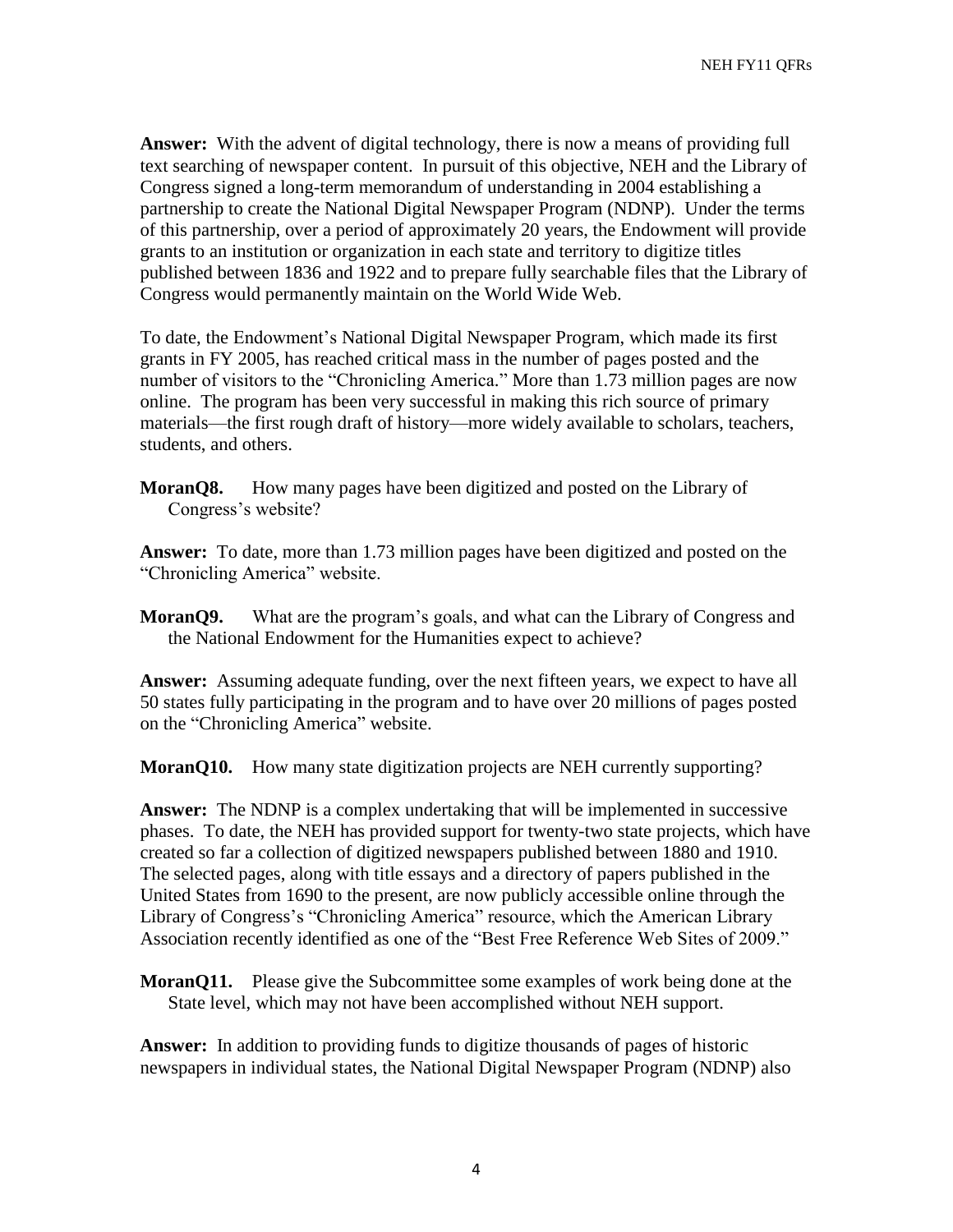**Answer:** With the advent of digital technology, there is now a means of providing full text searching of newspaper content. In pursuit of this objective, NEH and the Library of Congress signed a long-term memorandum of understanding in 2004 establishing a partnership to create the National Digital Newspaper Program (NDNP). Under the terms of this partnership, over a period of approximately 20 years, the Endowment will provide grants to an institution or organization in each state and territory to digitize titles published between 1836 and 1922 and to prepare fully searchable files that the Library of Congress would permanently maintain on the World Wide Web.

To date, the Endowment's National Digital Newspaper Program, which made its first grants in FY 2005, has reached critical mass in the number of pages posted and the number of visitors to the "Chronicling America." More than 1.73 million pages are now online. The program has been very successful in making this rich source of primary materials—the first rough draft of history—more widely available to scholars, teachers, students, and others.

**MoranQ8.** How many pages have been digitized and posted on the Library of Congress's website?

**Answer:** To date, more than 1.73 million pages have been digitized and posted on the "Chronicling America" website.

**MoranQ9.** What are the program's goals, and what can the Library of Congress and the National Endowment for the Humanities expect to achieve?

**Answer:** Assuming adequate funding, over the next fifteen years, we expect to have all 50 states fully participating in the program and to have over 20 millions of pages posted on the "Chronicling America" website.

**MoranQ10.** How many state digitization projects are NEH currently supporting?

**Answer:** The NDNP is a complex undertaking that will be implemented in successive phases. To date, the NEH has provided support for twenty-two state projects, which have created so far a collection of digitized newspapers published between 1880 and 1910. The selected pages, along with title essays and a directory of papers published in the United States from 1690 to the present, are now publicly accessible online through the Library of Congress's "Chronicling America" resource, which the American Library Association recently identified as one of the "Best Free Reference Web Sites of 2009."

**MoranQ11.** Please give the Subcommittee some examples of work being done at the State level, which may not have been accomplished without NEH support.

**Answer:** In addition to providing funds to digitize thousands of pages of historic newspapers in individual states, the National Digital Newspaper Program (NDNP) also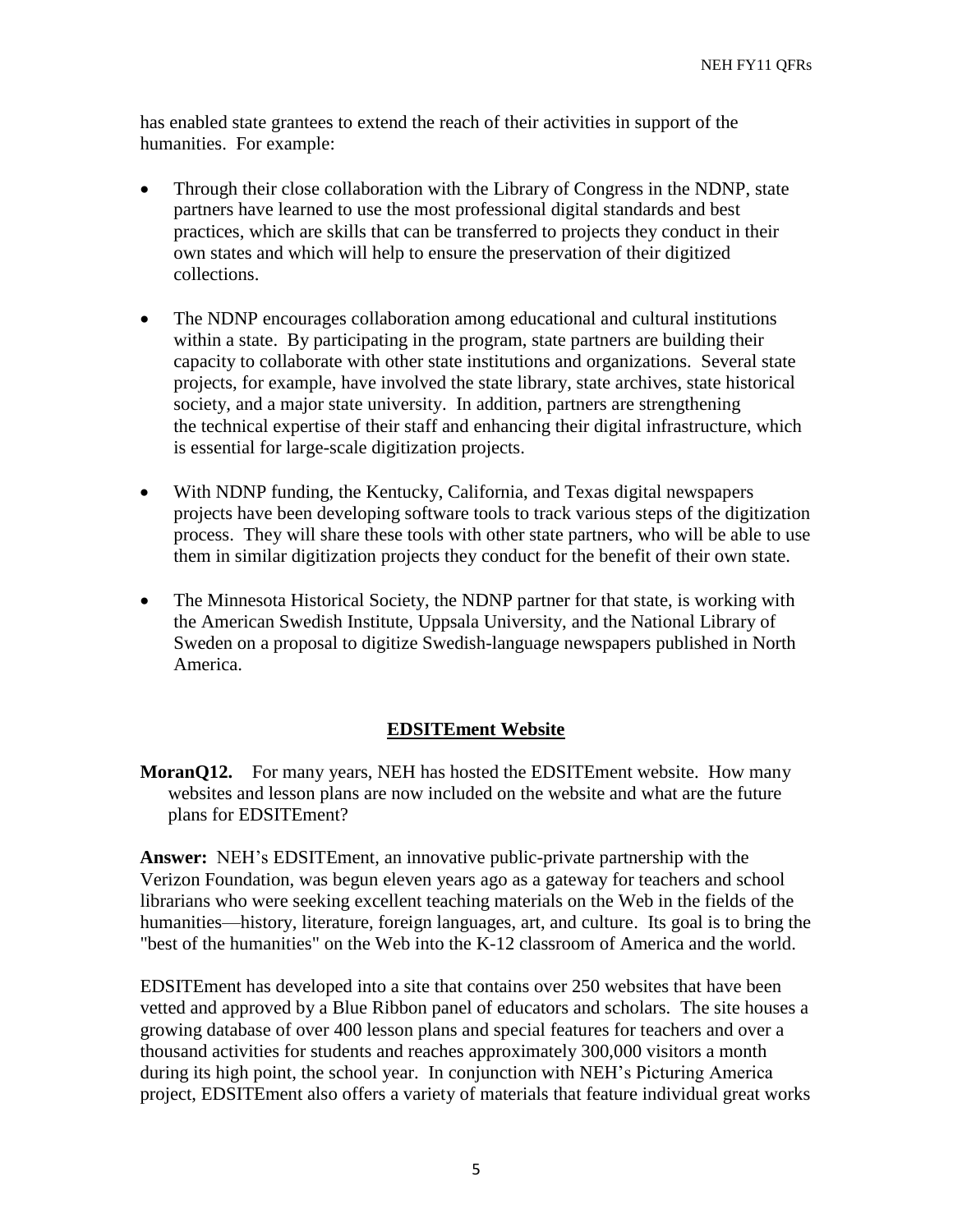has enabled state grantees to extend the reach of their activities in support of the humanities. For example:

- Through their close collaboration with the Library of Congress in the NDNP, state partners have learned to use the most professional digital standards and best practices, which are skills that can be transferred to projects they conduct in their own states and which will help to ensure the preservation of their digitized collections.
- The NDNP encourages collaboration among educational and cultural institutions within a state. By participating in the program, state partners are building their capacity to collaborate with other state institutions and organizations. Several state projects, for example, have involved the state library, state archives, state historical society, and a major state university. In addition, partners are strengthening the technical expertise of their staff and enhancing their digital infrastructure, which is essential for large-scale digitization projects.
- With NDNP funding, the Kentucky, California, and Texas digital newspapers projects have been developing software tools to track various steps of the digitization process. They will share these tools with other state partners, who will be able to use them in similar digitization projects they conduct for the benefit of their own state.
- The Minnesota Historical Society, the NDNP partner for that state, is working with the American Swedish Institute, Uppsala University, and the National Library of Sweden on a proposal to digitize Swedish-language newspapers published in North America.

#### **EDSITEment Website**

**MoranQ12.** For many years, NEH has hosted the EDSITEment website. How many websites and lesson plans are now included on the website and what are the future plans for EDSITEment?

**Answer:** NEH's EDSITEment, an innovative public-private partnership with the Verizon Foundation, was begun eleven years ago as a gateway for teachers and school librarians who were seeking excellent teaching materials on the Web in the fields of the humanities—history, literature, foreign languages, art, and culture. Its goal is to bring the "best of the humanities" on the Web into the K-12 classroom of America and the world.

EDSITEment has developed into a site that contains over 250 websites that have been vetted and approved by a Blue Ribbon panel of educators and scholars. The site houses a growing database of over 400 lesson plans and special features for teachers and over a thousand activities for students and reaches approximately 300,000 visitors a month during its high point, the school year. In conjunction with NEH's Picturing America project, EDSITEment also offers a variety of materials that feature individual great works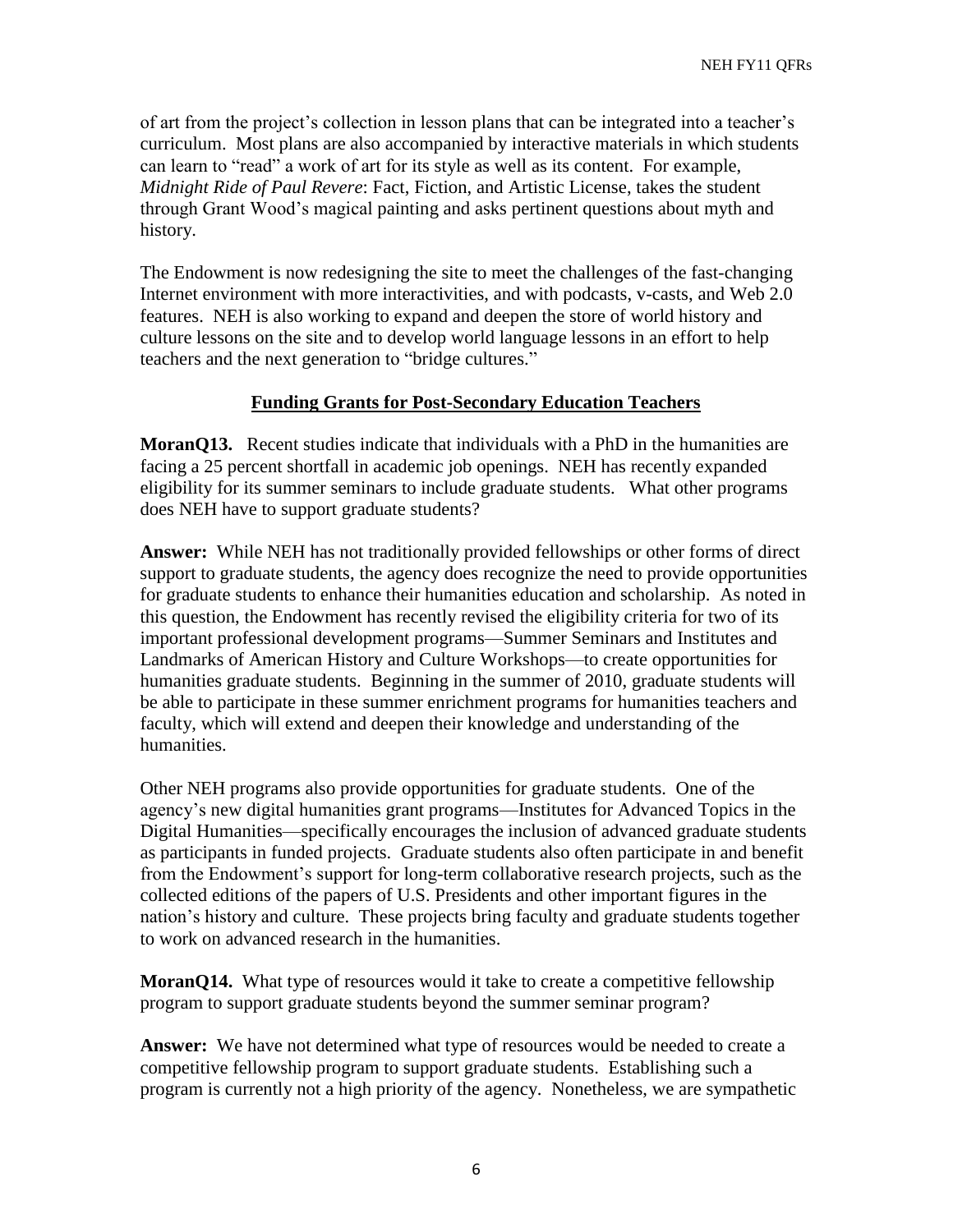of art from the project's collection in lesson plans that can be integrated into a teacher's curriculum. Most plans are also accompanied by interactive materials in which students can learn to "read" a work of art for its style as well as its content. For example, *Midnight Ride of Paul Revere*: Fact, Fiction, and Artistic License, takes the student through Grant Wood's magical painting and asks pertinent questions about myth and history.

The Endowment is now redesigning the site to meet the challenges of the fast-changing Internet environment with more interactivities, and with podcasts, v-casts, and Web 2.0 features. NEH is also working to expand and deepen the store of world history and culture lessons on the site and to develop world language lessons in an effort to help teachers and the next generation to "bridge cultures."

### **Funding Grants for Post-Secondary Education Teachers**

**MoranO13.** Recent studies indicate that individuals with a PhD in the humanities are facing a 25 percent shortfall in academic job openings. NEH has recently expanded eligibility for its summer seminars to include graduate students. What other programs does NEH have to support graduate students?

**Answer:** While NEH has not traditionally provided fellowships or other forms of direct support to graduate students, the agency does recognize the need to provide opportunities for graduate students to enhance their humanities education and scholarship. As noted in this question, the Endowment has recently revised the eligibility criteria for two of its important professional development programs—Summer Seminars and Institutes and Landmarks of American History and Culture Workshops—to create opportunities for humanities graduate students. Beginning in the summer of 2010, graduate students will be able to participate in these summer enrichment programs for humanities teachers and faculty, which will extend and deepen their knowledge and understanding of the humanities.

Other NEH programs also provide opportunities for graduate students. One of the agency's new digital humanities grant programs—Institutes for Advanced Topics in the Digital Humanities—specifically encourages the inclusion of advanced graduate students as participants in funded projects. Graduate students also often participate in and benefit from the Endowment's support for long-term collaborative research projects, such as the collected editions of the papers of U.S. Presidents and other important figures in the nation's history and culture. These projects bring faculty and graduate students together to work on advanced research in the humanities.

**MoranQ14.** What type of resources would it take to create a competitive fellowship program to support graduate students beyond the summer seminar program?

**Answer:** We have not determined what type of resources would be needed to create a competitive fellowship program to support graduate students. Establishing such a program is currently not a high priority of the agency. Nonetheless, we are sympathetic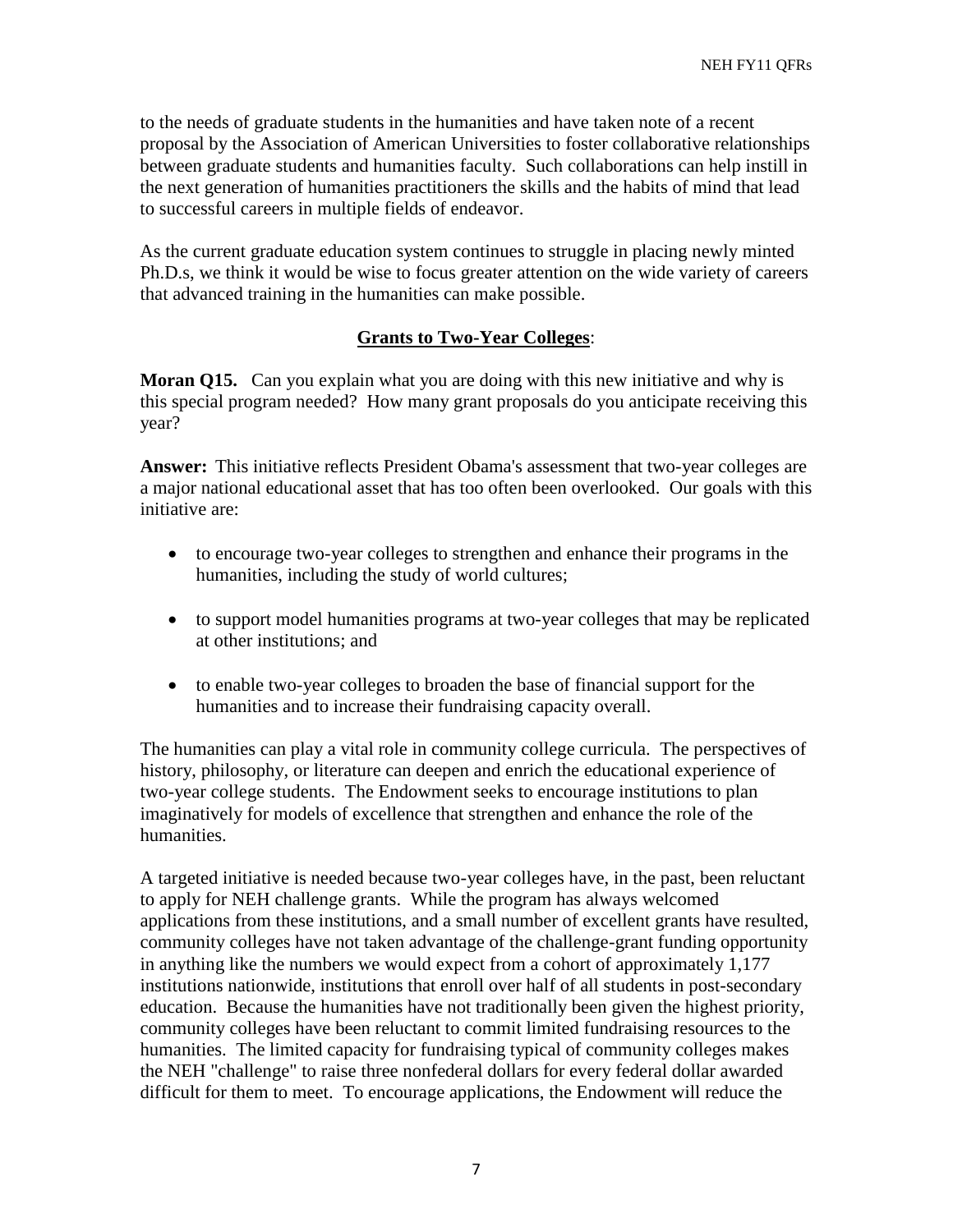to the needs of graduate students in the humanities and have taken note of a recent proposal by the Association of American Universities to foster collaborative relationships between graduate students and humanities faculty. Such collaborations can help instill in the next generation of humanities practitioners the skills and the habits of mind that lead to successful careers in multiple fields of endeavor.

As the current graduate education system continues to struggle in placing newly minted Ph.D.s, we think it would be wise to focus greater attention on the wide variety of careers that advanced training in the humanities can make possible.

### **Grants to Two-Year Colleges**:

**Moran Q15.** Can you explain what you are doing with this new initiative and why is this special program needed? How many grant proposals do you anticipate receiving this year?

**Answer:** This initiative reflects President Obama's assessment that two-year colleges are a major national educational asset that has too often been overlooked. Our goals with this initiative are:

- to encourage two-year colleges to strengthen and enhance their programs in the humanities, including the study of world cultures;
- to support model humanities programs at two-year colleges that may be replicated at other institutions; and
- to enable two-year colleges to broaden the base of financial support for the humanities and to increase their fundraising capacity overall.

The humanities can play a vital role in community college curricula. The perspectives of history, philosophy, or literature can deepen and enrich the educational experience of two-year college students. The Endowment seeks to encourage institutions to plan imaginatively for models of excellence that strengthen and enhance the role of the humanities.

A targeted initiative is needed because two-year colleges have, in the past, been reluctant to apply for NEH challenge grants. While the program has always welcomed applications from these institutions, and a small number of excellent grants have resulted, community colleges have not taken advantage of the challenge-grant funding opportunity in anything like the numbers we would expect from a cohort of approximately 1,177 institutions nationwide, institutions that enroll over half of all students in post-secondary education. Because the humanities have not traditionally been given the highest priority, community colleges have been reluctant to commit limited fundraising resources to the humanities. The limited capacity for fundraising typical of community colleges makes the NEH "challenge" to raise three nonfederal dollars for every federal dollar awarded difficult for them to meet. To encourage applications, the Endowment will reduce the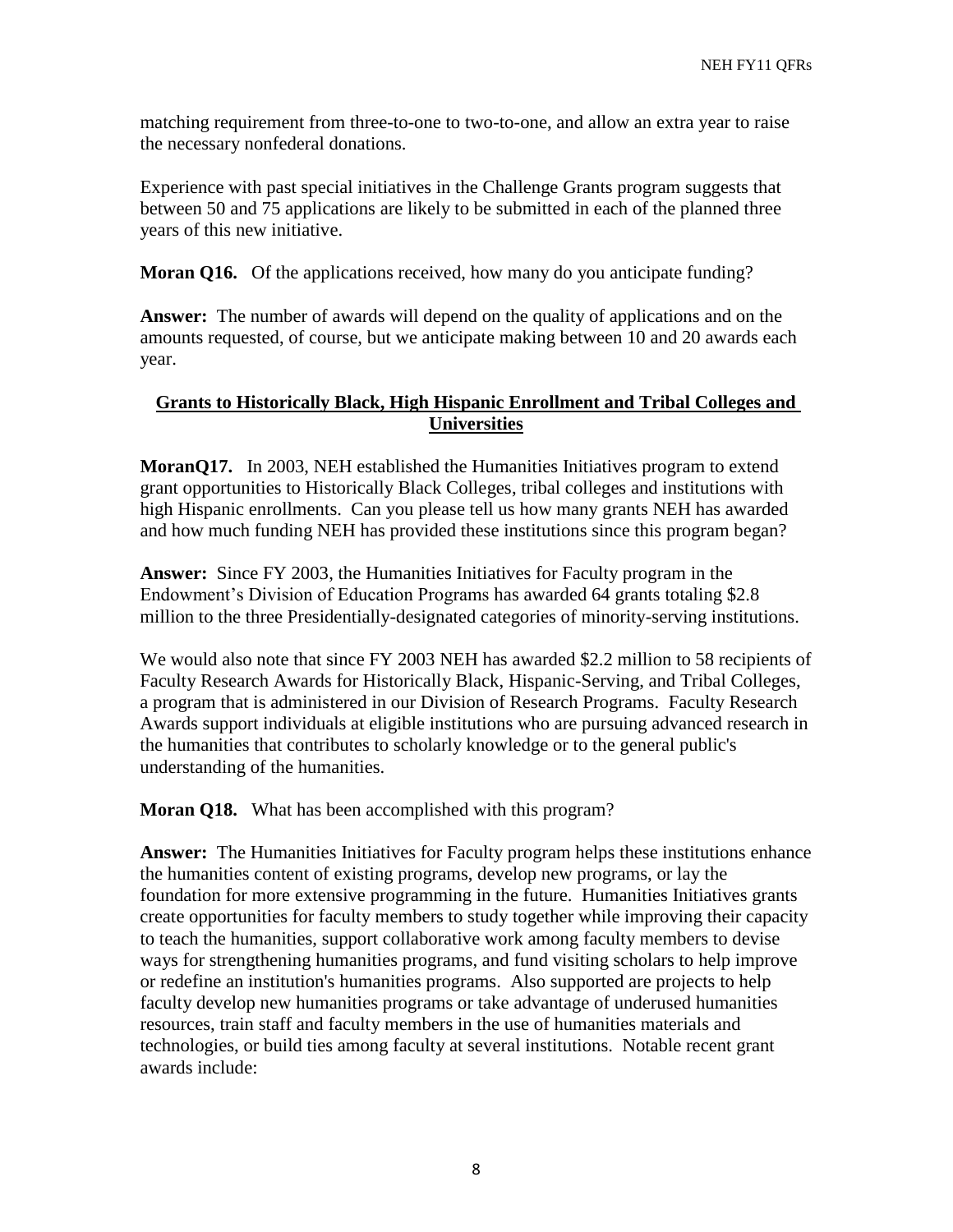matching requirement from three-to-one to two-to-one, and allow an extra year to raise the necessary nonfederal donations.

Experience with past special initiatives in the Challenge Grants program suggests that between 50 and 75 applications are likely to be submitted in each of the planned three years of this new initiative.

**Moran Q16.** Of the applications received, how many do you anticipate funding?

**Answer:** The number of awards will depend on the quality of applications and on the amounts requested, of course, but we anticipate making between 10 and 20 awards each year.

### **Grants to Historically Black, High Hispanic Enrollment and Tribal Colleges and Universities**

**MoranQ17.** In 2003, NEH established the Humanities Initiatives program to extend grant opportunities to Historically Black Colleges, tribal colleges and institutions with high Hispanic enrollments. Can you please tell us how many grants NEH has awarded and how much funding NEH has provided these institutions since this program began?

**Answer:** Since FY 2003, the Humanities Initiatives for Faculty program in the Endowment's Division of Education Programs has awarded 64 grants totaling \$2.8 million to the three Presidentially-designated categories of minority-serving institutions.

We would also note that since FY 2003 NEH has awarded \$2.2 million to 58 recipients of Faculty Research Awards for Historically Black, Hispanic-Serving, and Tribal Colleges, a program that is administered in our Division of Research Programs. Faculty Research Awards support individuals at eligible institutions who are pursuing advanced research in the humanities that contributes to scholarly knowledge or to the general public's understanding of the humanities.

**Moran Q18.** What has been accomplished with this program?

**Answer:** The Humanities Initiatives for Faculty program helps these institutions enhance the humanities content of existing programs, develop new programs, or lay the foundation for more extensive programming in the future. Humanities Initiatives grants create opportunities for faculty members to study together while improving their capacity to teach the humanities, support collaborative work among faculty members to devise ways for strengthening humanities programs, and fund visiting scholars to help improve or redefine an institution's humanities programs. Also supported are projects to help faculty develop new humanities programs or take advantage of underused humanities resources, train staff and faculty members in the use of humanities materials and technologies, or build ties among faculty at several institutions. Notable recent grant awards include: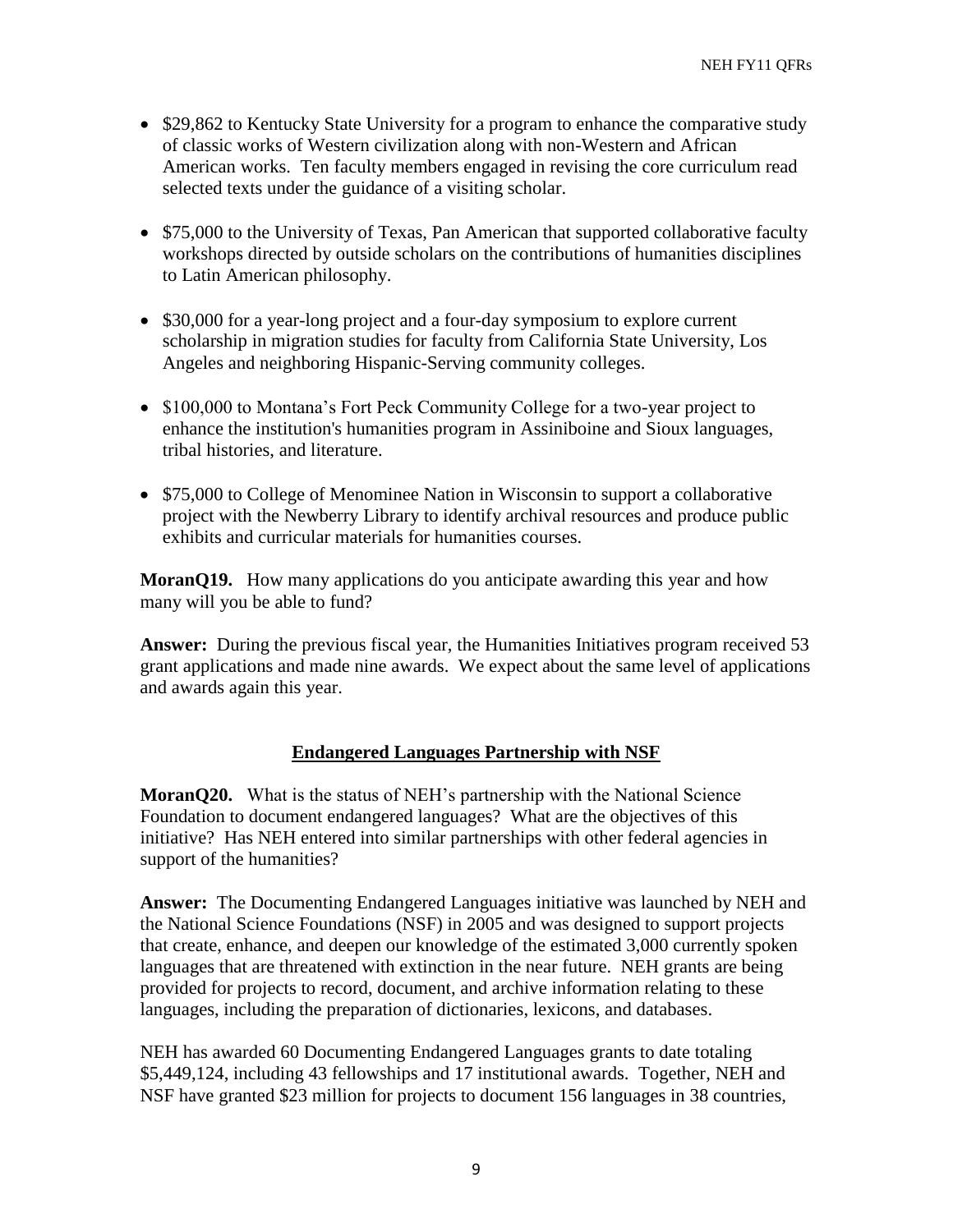- \$29,862 to Kentucky State University for a program to enhance the comparative study of classic works of Western civilization along with non-Western and African American works. Ten faculty members engaged in revising the core curriculum read selected texts under the guidance of a visiting scholar.
- \$75,000 to the University of Texas, Pan American that supported collaborative faculty workshops directed by outside scholars on the contributions of humanities disciplines to Latin American philosophy.
- \$30,000 for a year-long project and a four-day symposium to explore current scholarship in migration studies for faculty from California State University, Los Angeles and neighboring Hispanic-Serving community colleges.
- \$100,000 to Montana's Fort Peck Community College for a two-year project to enhance the institution's humanities program in Assiniboine and Sioux languages, tribal histories, and literature.
- \$75,000 to College of Menominee Nation in Wisconsin to support a collaborative project with the Newberry Library to identify archival resources and produce public exhibits and curricular materials for humanities courses.

**MoranQ19.** How many applications do you anticipate awarding this year and how many will you be able to fund?

**Answer:** During the previous fiscal year, the Humanities Initiatives program received 53 grant applications and made nine awards. We expect about the same level of applications and awards again this year.

# **Endangered Languages Partnership with NSF**

**MoranQ20.** What is the status of NEH's partnership with the National Science Foundation to document endangered languages? What are the objectives of this initiative? Has NEH entered into similar partnerships with other federal agencies in support of the humanities?

**Answer:** The Documenting Endangered Languages initiative was launched by NEH and the National Science Foundations (NSF) in 2005 and was designed to support projects that create, enhance, and deepen our knowledge of the estimated 3,000 currently spoken languages that are threatened with extinction in the near future. NEH grants are being provided for projects to record, document, and archive information relating to these languages, including the preparation of dictionaries, lexicons, and databases.

NEH has awarded 60 Documenting Endangered Languages grants to date totaling \$5,449,124, including 43 fellowships and 17 institutional awards. Together, NEH and NSF have granted \$23 million for projects to document 156 languages in 38 countries,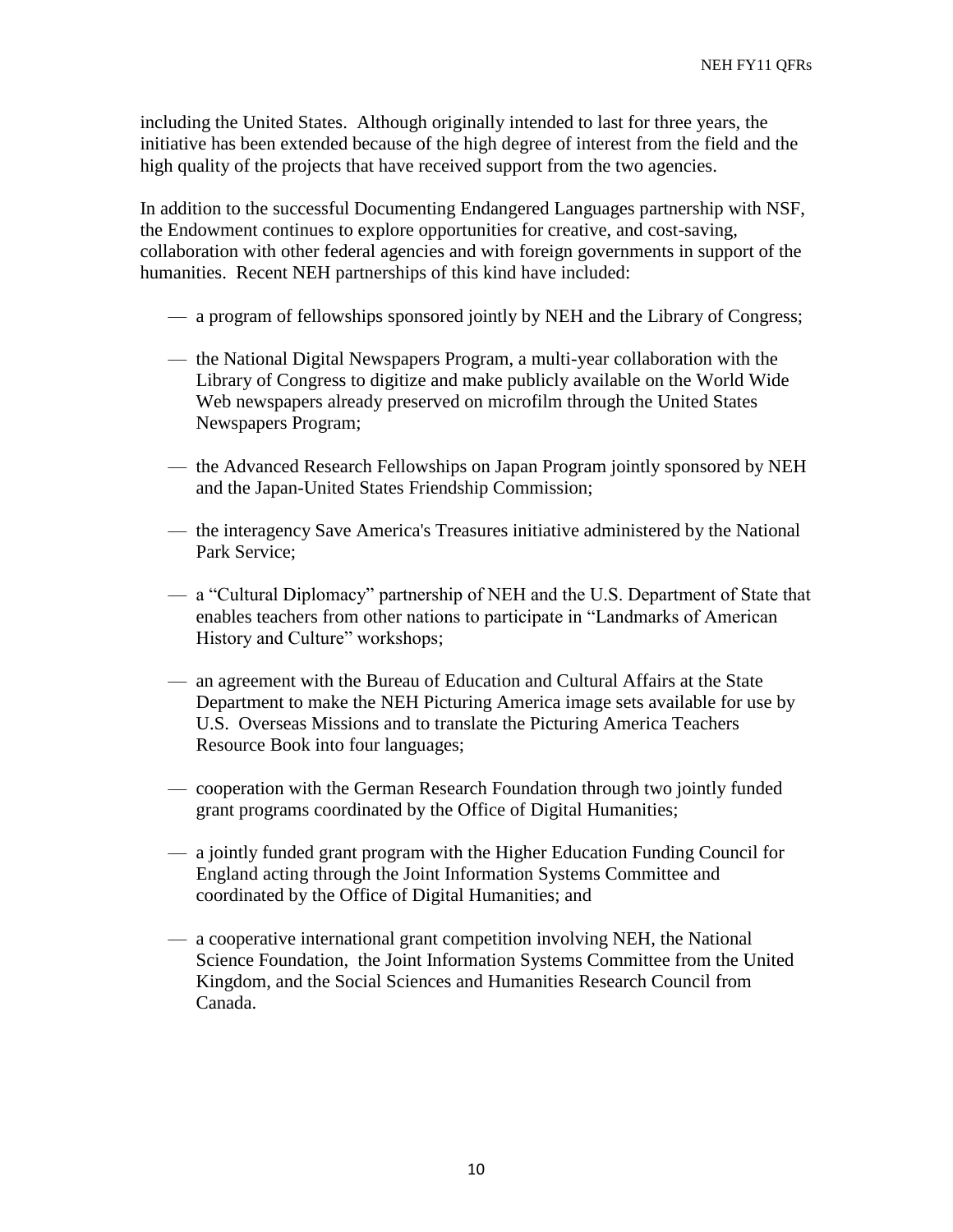including the United States. Although originally intended to last for three years, the initiative has been extended because of the high degree of interest from the field and the high quality of the projects that have received support from the two agencies.

In addition to the successful Documenting Endangered Languages partnership with NSF, the Endowment continues to explore opportunities for creative, and cost-saving, collaboration with other federal agencies and with foreign governments in support of the humanities. Recent NEH partnerships of this kind have included:

- a program of fellowships sponsored jointly by NEH and the Library of Congress;
- the National Digital Newspapers Program, a multi-year collaboration with the Library of Congress to digitize and make publicly available on the World Wide Web newspapers already preserved on microfilm through the United States Newspapers Program;
- the Advanced Research Fellowships on Japan Program jointly sponsored by NEH and the Japan-United States Friendship Commission;
- the interagency Save America's Treasures initiative administered by the National Park Service;
- a "Cultural Diplomacy" partnership of NEH and the U.S. Department of State that enables teachers from other nations to participate in "Landmarks of American History and Culture" workshops;
- an agreement with the Bureau of Education and Cultural Affairs at the State Department to make the NEH Picturing America image sets available for use by U.S. Overseas Missions and to translate the Picturing America Teachers Resource Book into four languages;
- cooperation with the German Research Foundation through two jointly funded grant programs coordinated by the Office of Digital Humanities;
- a jointly funded grant program with the Higher Education Funding Council for England acting through the Joint Information Systems Committee and coordinated by the Office of Digital Humanities; and
- a cooperative international grant competition involving NEH, the National Science Foundation, the Joint Information Systems Committee from the United Kingdom, and the Social Sciences and Humanities Research Council from Canada.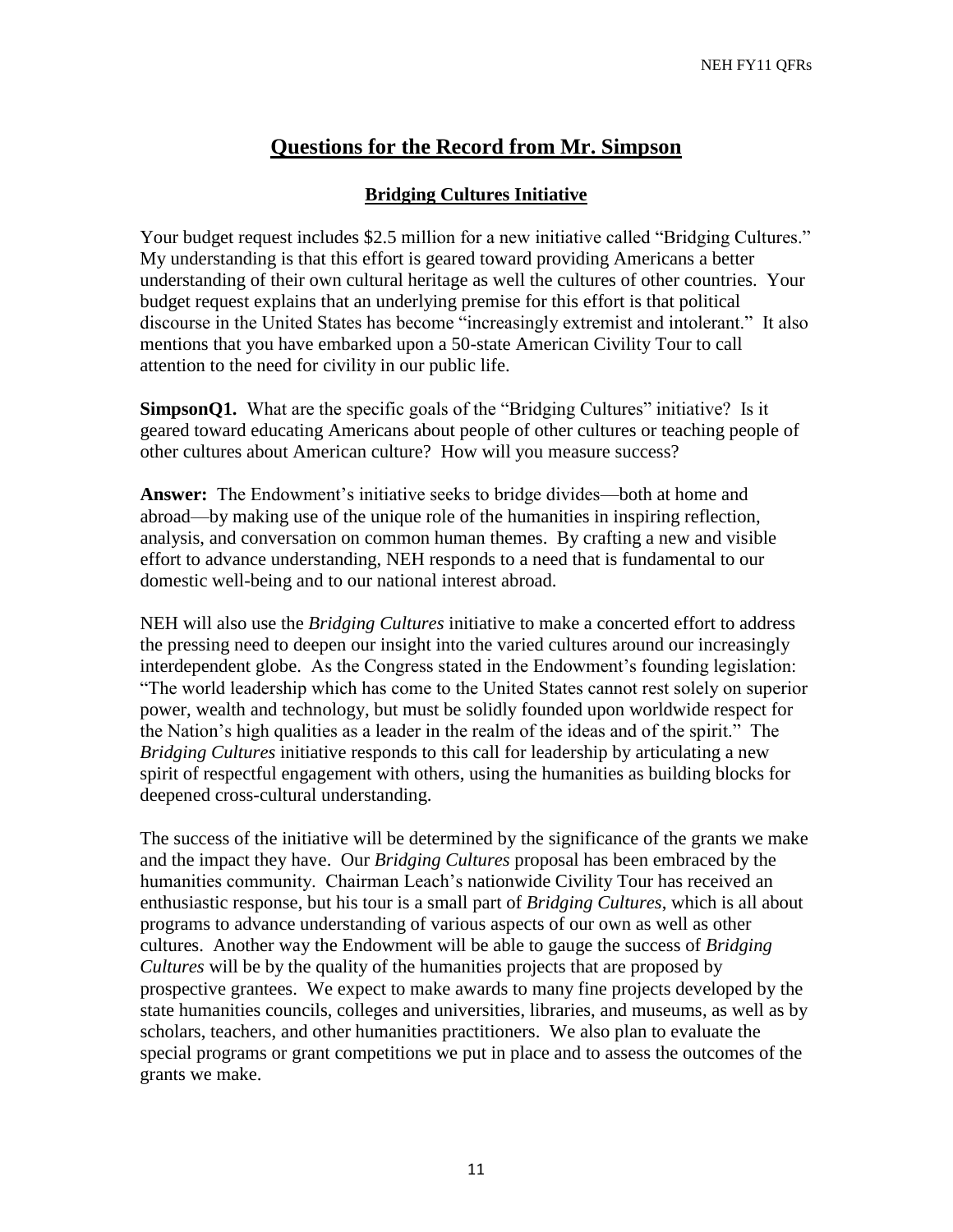# **Questions for the Record from Mr. Simpson**

### **Bridging Cultures Initiative**

Your budget request includes \$2.5 million for a new initiative called "Bridging Cultures." My understanding is that this effort is geared toward providing Americans a better understanding of their own cultural heritage as well the cultures of other countries. Your budget request explains that an underlying premise for this effort is that political discourse in the United States has become "increasingly extremist and intolerant." It also mentions that you have embarked upon a 50-state American Civility Tour to call attention to the need for civility in our public life.

**SimpsonQ1.** What are the specific goals of the "Bridging Cultures" initiative? Is it geared toward educating Americans about people of other cultures or teaching people of other cultures about American culture? How will you measure success?

**Answer:** The Endowment's initiative seeks to bridge divides—both at home and abroad—by making use of the unique role of the humanities in inspiring reflection, analysis, and conversation on common human themes. By crafting a new and visible effort to advance understanding, NEH responds to a need that is fundamental to our domestic well-being and to our national interest abroad.

NEH will also use the *Bridging Cultures* initiative to make a concerted effort to address the pressing need to deepen our insight into the varied cultures around our increasingly interdependent globe. As the Congress stated in the Endowment's founding legislation: "The world leadership which has come to the United States cannot rest solely on superior power, wealth and technology, but must be solidly founded upon worldwide respect for the Nation's high qualities as a leader in the realm of the ideas and of the spirit." The *Bridging Cultures* initiative responds to this call for leadership by articulating a new spirit of respectful engagement with others, using the humanities as building blocks for deepened cross-cultural understanding.

The success of the initiative will be determined by the significance of the grants we make and the impact they have. Our *Bridging Cultures* proposal has been embraced by the humanities community. Chairman Leach's nationwide Civility Tour has received an enthusiastic response, but his tour is a small part of *Bridging Cultures*, which is all about programs to advance understanding of various aspects of our own as well as other cultures. Another way the Endowment will be able to gauge the success of *Bridging Cultures* will be by the quality of the humanities projects that are proposed by prospective grantees. We expect to make awards to many fine projects developed by the state humanities councils, colleges and universities, libraries, and museums, as well as by scholars, teachers, and other humanities practitioners. We also plan to evaluate the special programs or grant competitions we put in place and to assess the outcomes of the grants we make.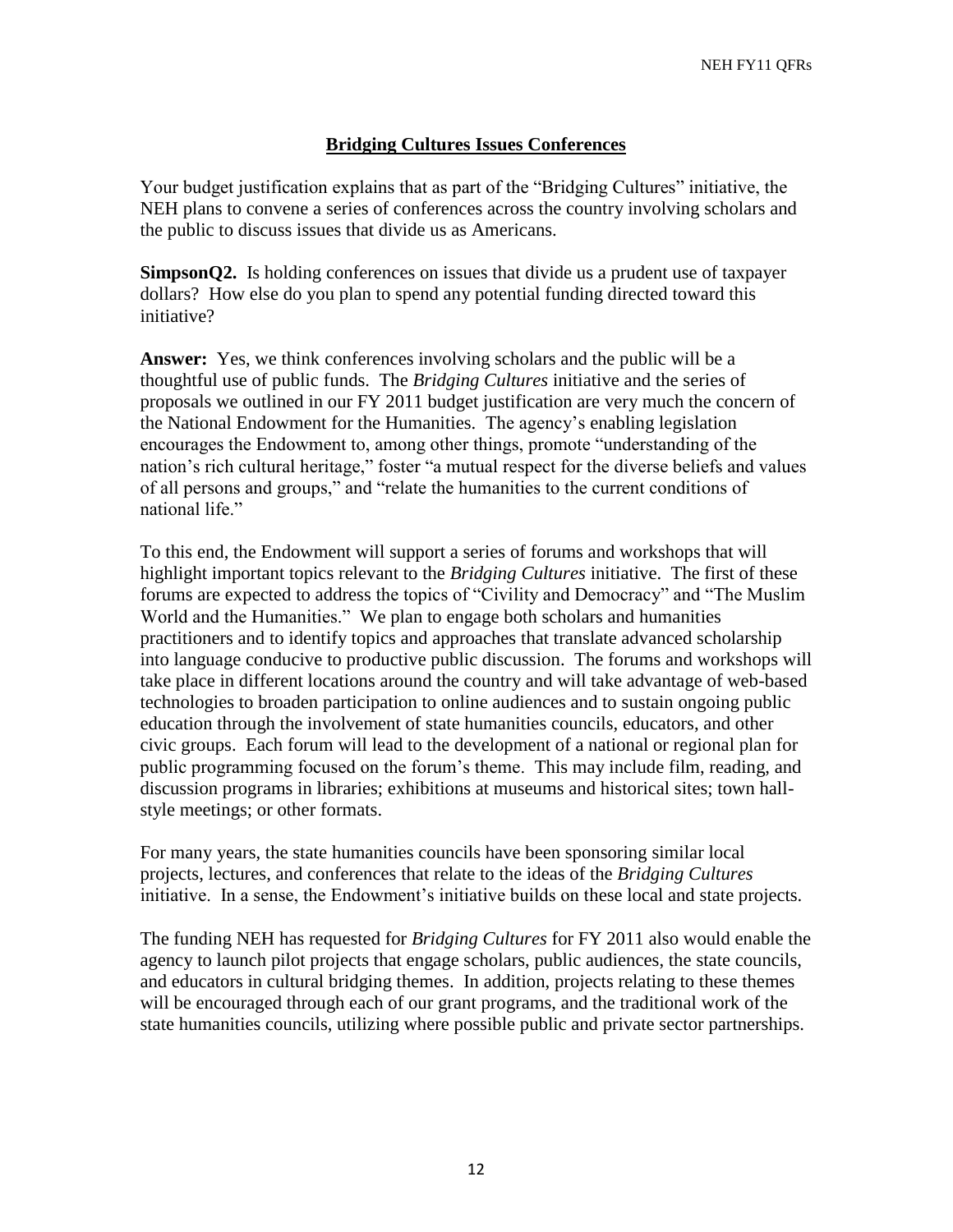## **Bridging Cultures Issues Conferences**

Your budget justification explains that as part of the "Bridging Cultures" initiative, the NEH plans to convene a series of conferences across the country involving scholars and the public to discuss issues that divide us as Americans.

**SimpsonQ2.** Is holding conferences on issues that divide us a prudent use of taxpayer dollars? How else do you plan to spend any potential funding directed toward this initiative?

**Answer:** Yes, we think conferences involving scholars and the public will be a thoughtful use of public funds. The *Bridging Cultures* initiative and the series of proposals we outlined in our FY 2011 budget justification are very much the concern of the National Endowment for the Humanities. The agency's enabling legislation encourages the Endowment to, among other things, promote "understanding of the nation's rich cultural heritage," foster "a mutual respect for the diverse beliefs and values of all persons and groups," and "relate the humanities to the current conditions of national life."

To this end, the Endowment will support a series of forums and workshops that will highlight important topics relevant to the *Bridging Cultures* initiative. The first of these forums are expected to address the topics of "Civility and Democracy" and "The Muslim World and the Humanities." We plan to engage both scholars and humanities practitioners and to identify topics and approaches that translate advanced scholarship into language conducive to productive public discussion. The forums and workshops will take place in different locations around the country and will take advantage of web-based technologies to broaden participation to online audiences and to sustain ongoing public education through the involvement of state humanities councils, educators, and other civic groups. Each forum will lead to the development of a national or regional plan for public programming focused on the forum's theme. This may include film, reading, and discussion programs in libraries; exhibitions at museums and historical sites; town hallstyle meetings; or other formats.

For many years, the state humanities councils have been sponsoring similar local projects, lectures, and conferences that relate to the ideas of the *Bridging Cultures* initiative. In a sense, the Endowment's initiative builds on these local and state projects.

The funding NEH has requested for *Bridging Cultures* for FY 2011 also would enable the agency to launch pilot projects that engage scholars, public audiences, the state councils, and educators in cultural bridging themes. In addition, projects relating to these themes will be encouraged through each of our grant programs, and the traditional work of the state humanities councils, utilizing where possible public and private sector partnerships.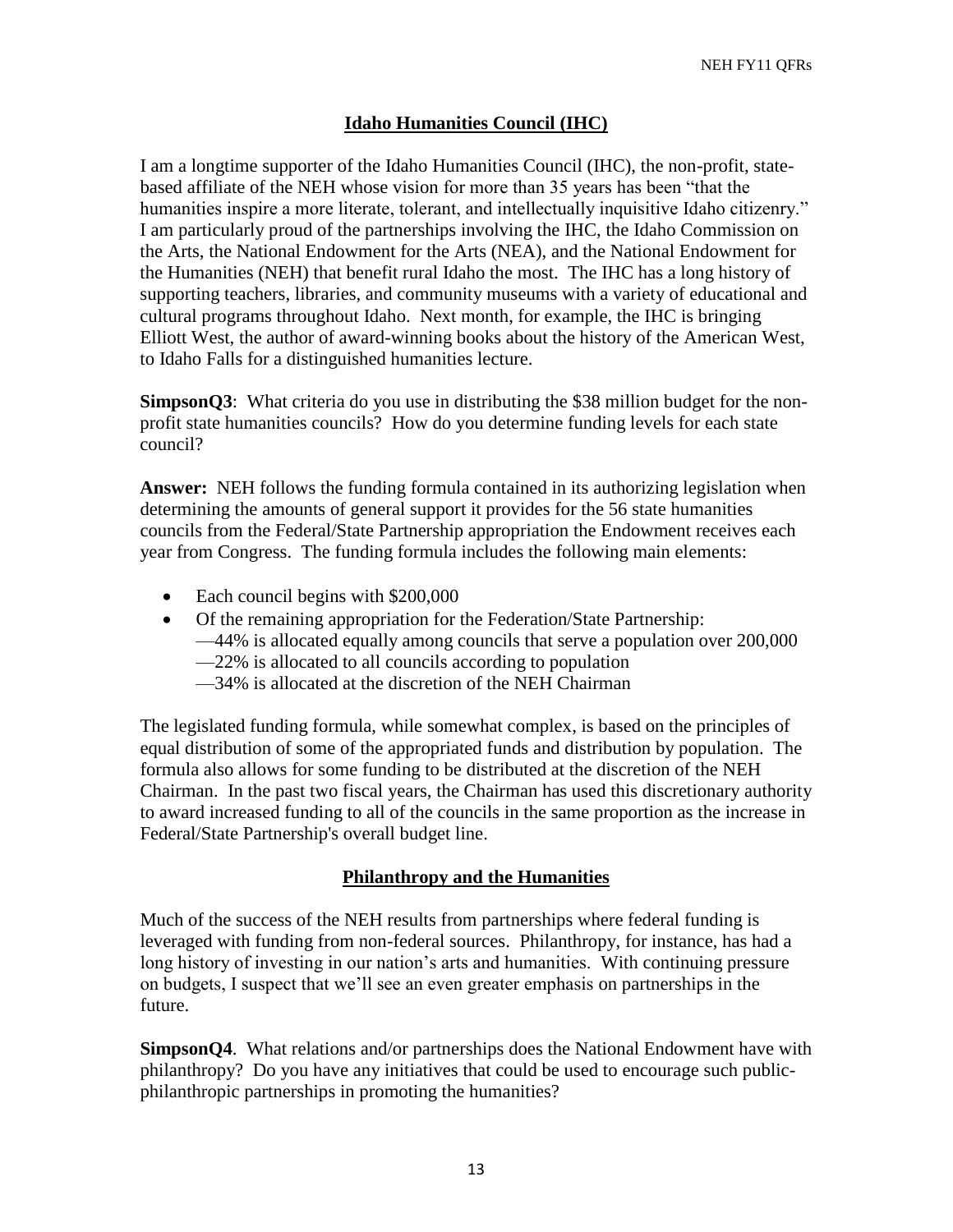# **Idaho Humanities Council (IHC)**

I am a longtime supporter of the Idaho Humanities Council (IHC), the non-profit, statebased affiliate of the NEH whose vision for more than 35 years has been "that the humanities inspire a more literate, tolerant, and intellectually inquisitive Idaho citizenry." I am particularly proud of the partnerships involving the IHC, the Idaho Commission on the Arts, the National Endowment for the Arts (NEA), and the National Endowment for the Humanities (NEH) that benefit rural Idaho the most. The IHC has a long history of supporting teachers, libraries, and community museums with a variety of educational and cultural programs throughout Idaho. Next month, for example, the IHC is bringing Elliott West, the author of award-winning books about the history of the American West, to Idaho Falls for a distinguished humanities lecture.

**SimpsonQ3**: What criteria do you use in distributing the \$38 million budget for the nonprofit state humanities councils? How do you determine funding levels for each state council?

**Answer:** NEH follows the funding formula contained in its authorizing legislation when determining the amounts of general support it provides for the 56 state humanities councils from the Federal/State Partnership appropriation the Endowment receives each year from Congress. The funding formula includes the following main elements:

- Each council begins with \$200,000
- Of the remaining appropriation for the Federation/State Partnership:
	- —44% is allocated equally among councils that serve a population over 200,000
	- —22% is allocated to all councils according to population
	- —34% is allocated at the discretion of the NEH Chairman

The legislated funding formula, while somewhat complex, is based on the principles of equal distribution of some of the appropriated funds and distribution by population. The formula also allows for some funding to be distributed at the discretion of the NEH Chairman. In the past two fiscal years, the Chairman has used this discretionary authority to award increased funding to all of the councils in the same proportion as the increase in Federal/State Partnership's overall budget line.

# **Philanthropy and the Humanities**

Much of the success of the NEH results from partnerships where federal funding is leveraged with funding from non-federal sources. Philanthropy, for instance, has had a long history of investing in our nation's arts and humanities. With continuing pressure on budgets, I suspect that we'll see an even greater emphasis on partnerships in the future.

**SimpsonQ4**. What relations and/or partnerships does the National Endowment have with philanthropy? Do you have any initiatives that could be used to encourage such publicphilanthropic partnerships in promoting the humanities?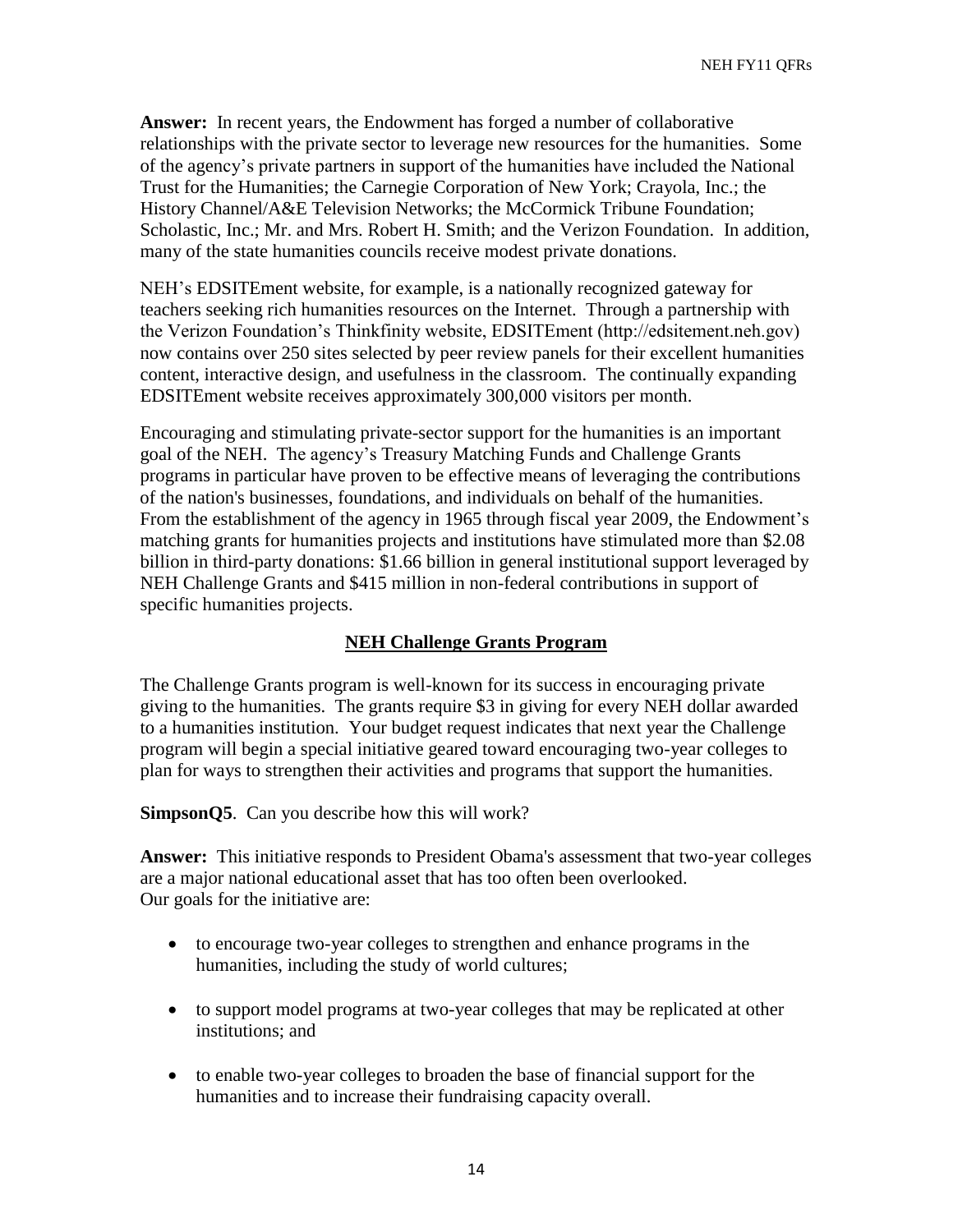**Answer:** In recent years, the Endowment has forged a number of collaborative relationships with the private sector to leverage new resources for the humanities. Some of the agency's private partners in support of the humanities have included the National Trust for the Humanities; the Carnegie Corporation of New York; Crayola, Inc.; the History Channel/A&E Television Networks; the McCormick Tribune Foundation; Scholastic, Inc.; Mr. and Mrs. Robert H. Smith; and the Verizon Foundation. In addition, many of the state humanities councils receive modest private donations.

NEH's EDSITEment website, for example, is a nationally recognized gateway for teachers seeking rich humanities resources on the Internet. Through a partnership with the Verizon Foundation's Thinkfinity website, EDSITEment (http://edsitement.neh.gov) now contains over 250 sites selected by peer review panels for their excellent humanities content, interactive design, and usefulness in the classroom. The continually expanding EDSITEment website receives approximately 300,000 visitors per month.

Encouraging and stimulating private-sector support for the humanities is an important goal of the NEH. The agency's Treasury Matching Funds and Challenge Grants programs in particular have proven to be effective means of leveraging the contributions of the nation's businesses, foundations, and individuals on behalf of the humanities. From the establishment of the agency in 1965 through fiscal year 2009, the Endowment's matching grants for humanities projects and institutions have stimulated more than \$2.08 billion in third-party donations: \$1.66 billion in general institutional support leveraged by NEH Challenge Grants and \$415 million in non-federal contributions in support of specific humanities projects.

### **NEH Challenge Grants Program**

The Challenge Grants program is well-known for its success in encouraging private giving to the humanities. The grants require \$3 in giving for every NEH dollar awarded to a humanities institution. Your budget request indicates that next year the Challenge program will begin a special initiative geared toward encouraging two-year colleges to plan for ways to strengthen their activities and programs that support the humanities.

**SimpsonQ5**. Can you describe how this will work?

**Answer:** This initiative responds to President Obama's assessment that two-year colleges are a major national educational asset that has too often been overlooked. Our goals for the initiative are:

- to encourage two-year colleges to strengthen and enhance programs in the humanities, including the study of world cultures;
- to support model programs at two-year colleges that may be replicated at other institutions; and
- to enable two-year colleges to broaden the base of financial support for the humanities and to increase their fundraising capacity overall.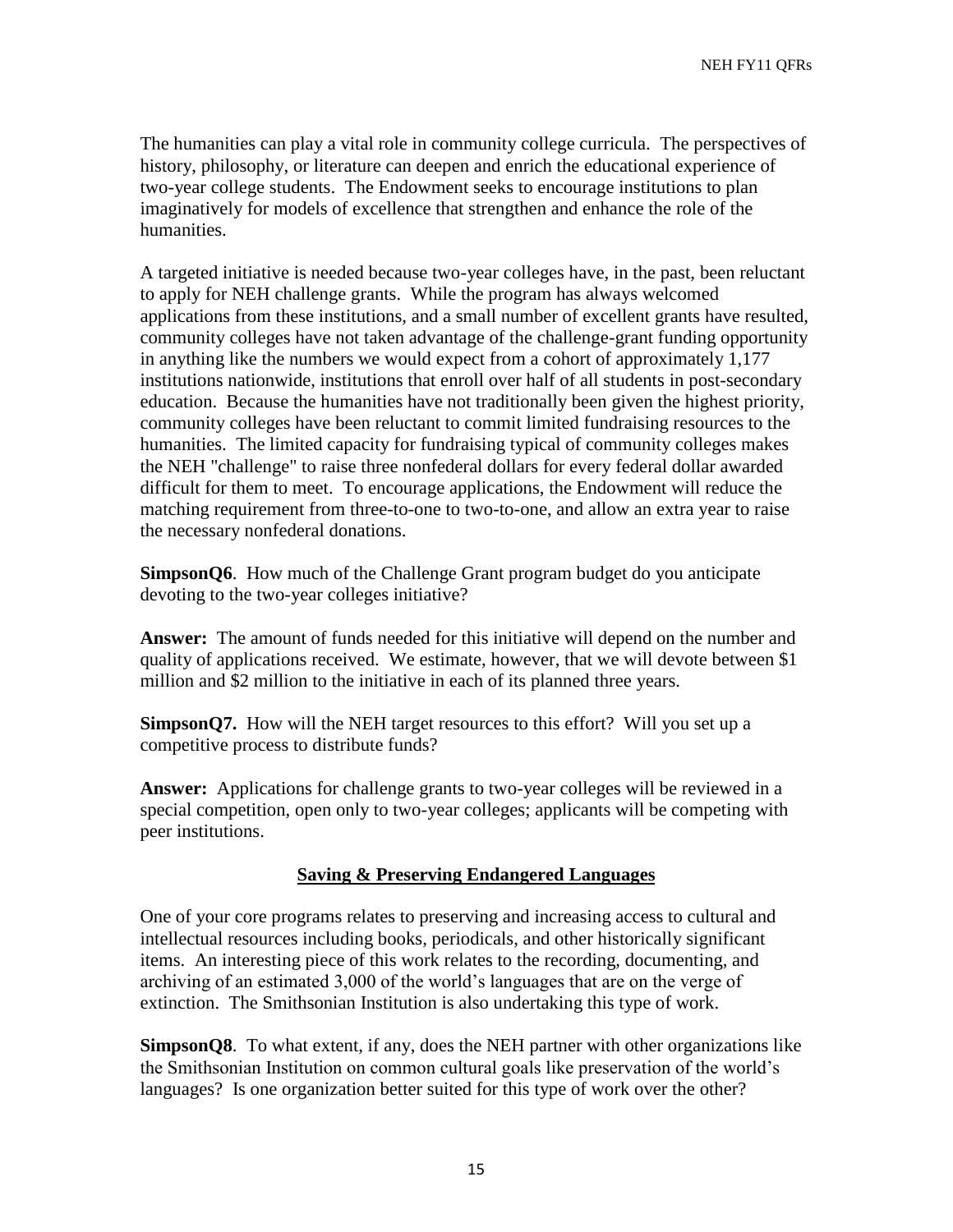NEH FY11 QFRs

The humanities can play a vital role in community college curricula. The perspectives of history, philosophy, or literature can deepen and enrich the educational experience of two-year college students. The Endowment seeks to encourage institutions to plan imaginatively for models of excellence that strengthen and enhance the role of the humanities.

A targeted initiative is needed because two-year colleges have, in the past, been reluctant to apply for NEH challenge grants. While the program has always welcomed applications from these institutions, and a small number of excellent grants have resulted, community colleges have not taken advantage of the challenge-grant funding opportunity in anything like the numbers we would expect from a cohort of approximately 1,177 institutions nationwide, institutions that enroll over half of all students in post-secondary education. Because the humanities have not traditionally been given the highest priority, community colleges have been reluctant to commit limited fundraising resources to the humanities. The limited capacity for fundraising typical of community colleges makes the NEH "challenge" to raise three nonfederal dollars for every federal dollar awarded difficult for them to meet. To encourage applications, the Endowment will reduce the matching requirement from three-to-one to two-to-one, and allow an extra year to raise the necessary nonfederal donations.

**SimpsonQ6**. How much of the Challenge Grant program budget do you anticipate devoting to the two-year colleges initiative?

**Answer:** The amount of funds needed for this initiative will depend on the number and quality of applications received. We estimate, however, that we will devote between \$1 million and \$2 million to the initiative in each of its planned three years.

**SimpsonQ7.** How will the NEH target resources to this effort? Will you set up a competitive process to distribute funds?

**Answer:** Applications for challenge grants to two-year colleges will be reviewed in a special competition, open only to two-year colleges; applicants will be competing with peer institutions.

### **Saving & Preserving Endangered Languages**

One of your core programs relates to preserving and increasing access to cultural and intellectual resources including books, periodicals, and other historically significant items. An interesting piece of this work relates to the recording, documenting, and archiving of an estimated 3,000 of the world's languages that are on the verge of extinction. The Smithsonian Institution is also undertaking this type of work.

**SimpsonQ8**. To what extent, if any, does the NEH partner with other organizations like the Smithsonian Institution on common cultural goals like preservation of the world's languages? Is one organization better suited for this type of work over the other?

15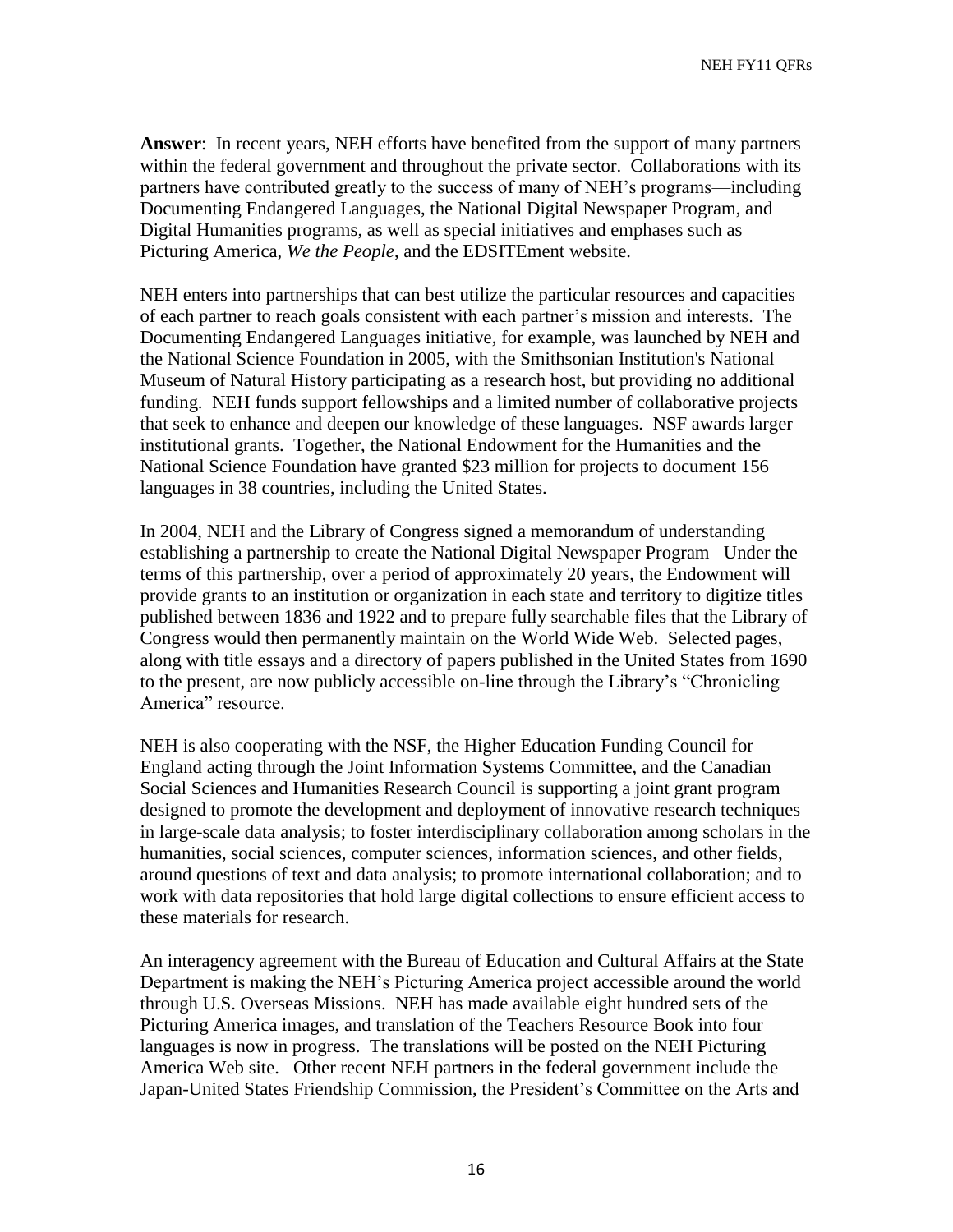NEH FY11 QFRs

**Answer**: In recent years, NEH efforts have benefited from the support of many partners within the federal government and throughout the private sector. Collaborations with its partners have contributed greatly to the success of many of NEH's programs—including Documenting Endangered Languages, the National Digital Newspaper Program, and Digital Humanities programs, as well as special initiatives and emphases such as Picturing America, *We the People*, and the EDSITEment website.

NEH enters into partnerships that can best utilize the particular resources and capacities of each partner to reach goals consistent with each partner's mission and interests. The Documenting Endangered Languages initiative, for example, was launched by NEH and the National Science Foundation in 2005, with the Smithsonian Institution's National Museum of Natural History participating as a research host, but providing no additional funding. NEH funds support fellowships and a limited number of collaborative projects that seek to enhance and deepen our knowledge of these languages. NSF awards larger institutional grants. Together, the National Endowment for the Humanities and the National Science Foundation have granted \$23 million for projects to document 156 languages in 38 countries, including the United States.

In 2004, NEH and the Library of Congress signed a memorandum of understanding establishing a partnership to create the National Digital Newspaper Program Under the terms of this partnership, over a period of approximately 20 years, the Endowment will provide grants to an institution or organization in each state and territory to digitize titles published between 1836 and 1922 and to prepare fully searchable files that the Library of Congress would then permanently maintain on the World Wide Web. Selected pages, along with title essays and a directory of papers published in the United States from 1690 to the present, are now publicly accessible on-line through the Library's "Chronicling America" resource.

NEH is also cooperating with the NSF, the Higher Education Funding Council for England acting through the Joint Information Systems Committee, and the Canadian Social Sciences and Humanities Research Council is supporting a joint grant program designed to promote the development and deployment of innovative research techniques in large-scale data analysis; to foster interdisciplinary collaboration among scholars in the humanities, social sciences, computer sciences, information sciences, and other fields, around questions of text and data analysis; to promote international collaboration; and to work with data repositories that hold large digital collections to ensure efficient access to these materials for research.

An interagency agreement with the Bureau of Education and Cultural Affairs at the State Department is making the NEH's Picturing America project accessible around the world through U.S. Overseas Missions. NEH has made available eight hundred sets of the Picturing America images, and translation of the Teachers Resource Book into four languages is now in progress. The translations will be posted on the NEH Picturing America Web site. Other recent NEH partners in the federal government include the Japan-United States Friendship Commission, the President's Committee on the Arts and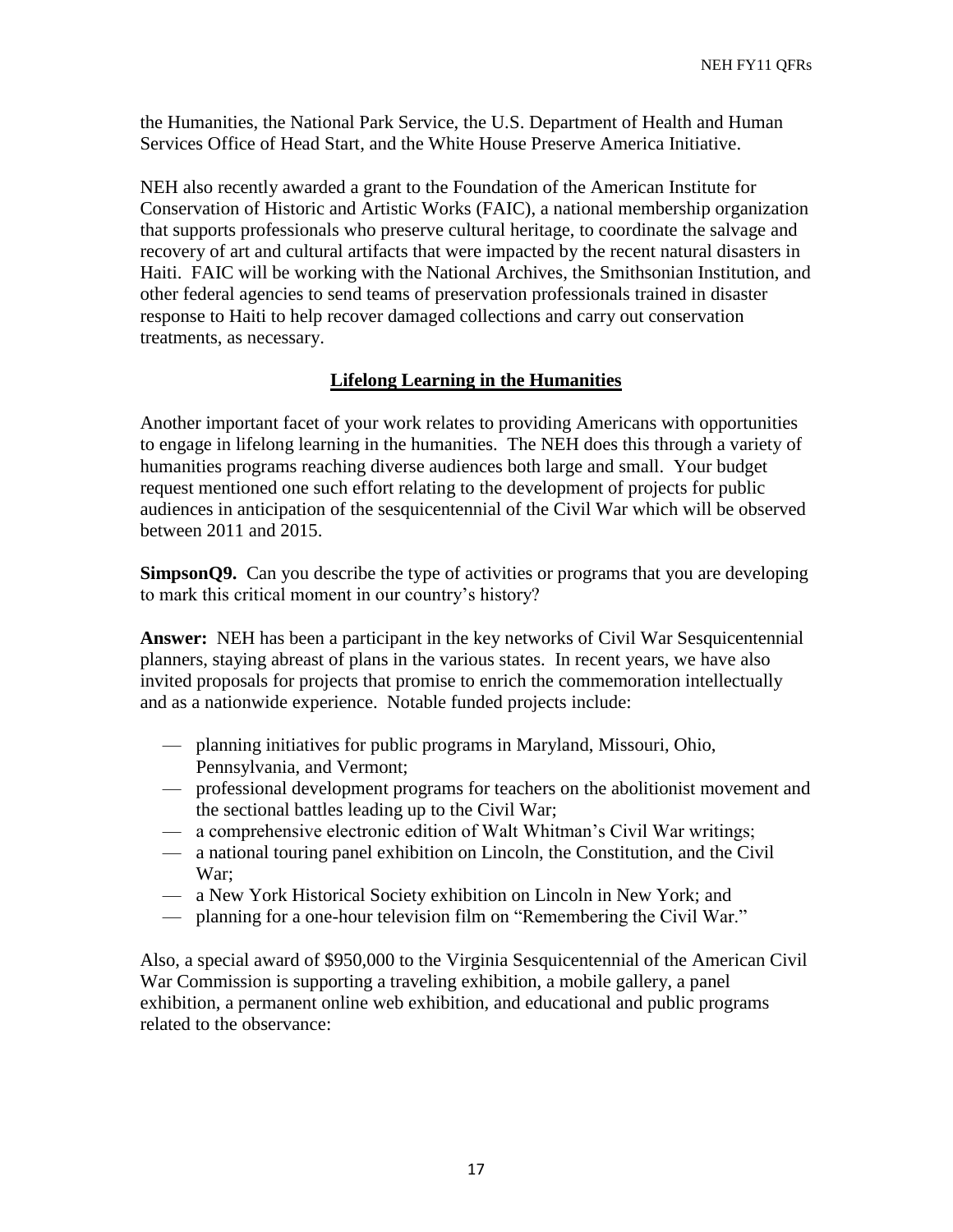the Humanities, the National Park Service, the U.S. Department of Health and Human Services Office of Head Start, and the White House Preserve America Initiative.

NEH also recently awarded a grant to the Foundation of the American Institute for Conservation of Historic and Artistic Works (FAIC), a national membership organization that supports professionals who preserve cultural heritage, to coordinate the salvage and recovery of art and cultural artifacts that were impacted by the recent natural disasters in Haiti. FAIC will be working with the National Archives, the Smithsonian Institution, and other federal agencies to send teams of preservation professionals trained in disaster response to Haiti to help recover damaged collections and carry out conservation treatments, as necessary.

# **Lifelong Learning in the Humanities**

Another important facet of your work relates to providing Americans with opportunities to engage in lifelong learning in the humanities. The NEH does this through a variety of humanities programs reaching diverse audiences both large and small. Your budget request mentioned one such effort relating to the development of projects for public audiences in anticipation of the sesquicentennial of the Civil War which will be observed between 2011 and 2015.

**SimpsonQ9.** Can you describe the type of activities or programs that you are developing to mark this critical moment in our country's history?

**Answer:** NEH has been a participant in the key networks of Civil War Sesquicentennial planners, staying abreast of plans in the various states. In recent years, we have also invited proposals for projects that promise to enrich the commemoration intellectually and as a nationwide experience. Notable funded projects include:

- planning initiatives for public programs in Maryland, Missouri, Ohio, Pennsylvania, and Vermont;
- professional development programs for teachers on the abolitionist movement and the sectional battles leading up to the Civil War;
- a comprehensive electronic edition of Walt Whitman's Civil War writings;
- a national touring panel exhibition on Lincoln, the Constitution, and the Civil War;
- a New York Historical Society exhibition on Lincoln in New York; and
- planning for a one-hour television film on "Remembering the Civil War."

Also, a special award of \$950,000 to the Virginia Sesquicentennial of the American Civil War Commission is supporting a traveling exhibition, a mobile gallery, a panel exhibition, a permanent online web exhibition, and educational and public programs related to the observance: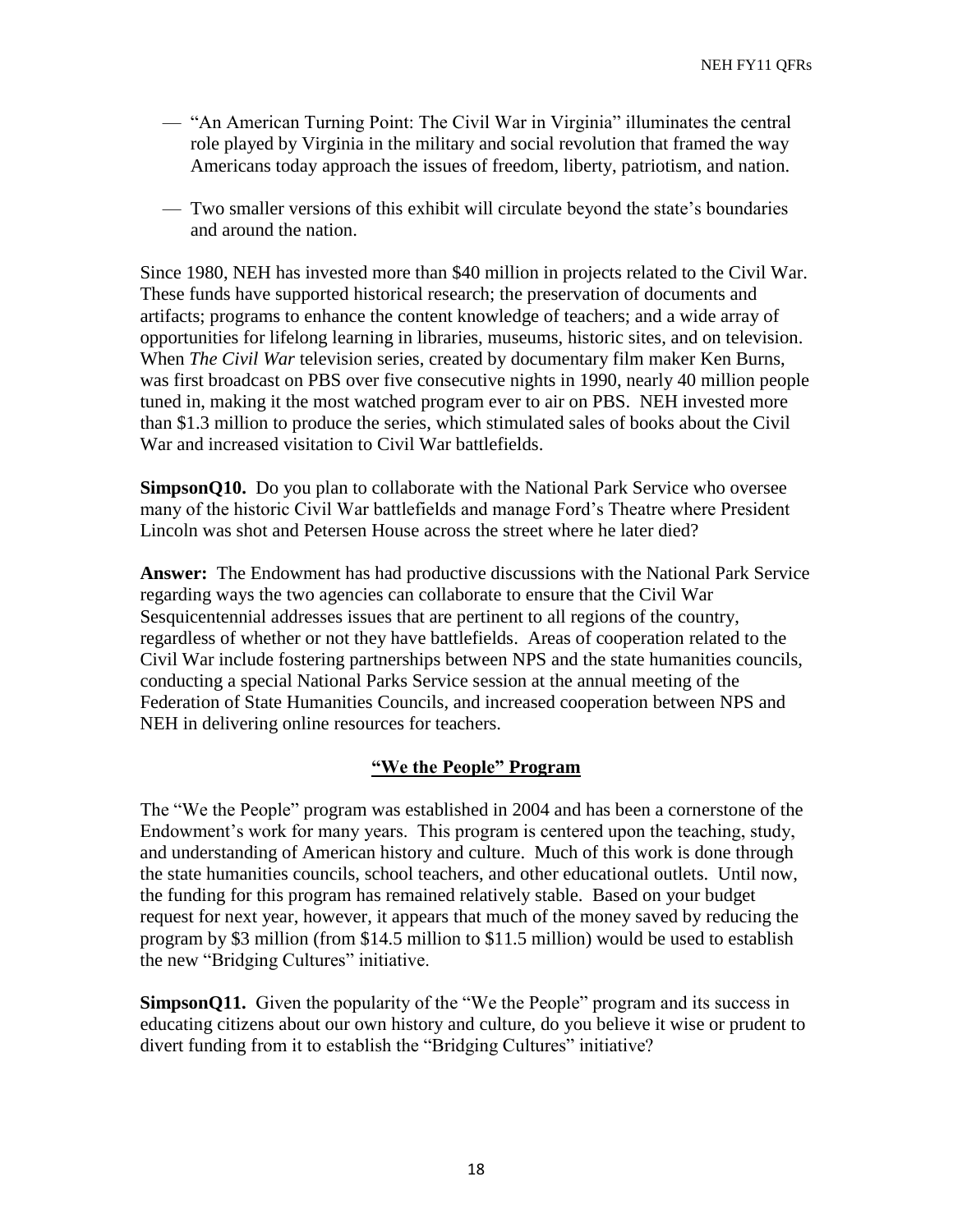- "An American Turning Point: The Civil War in Virginia" illuminates the central role played by Virginia in the military and social revolution that framed the way Americans today approach the issues of freedom, liberty, patriotism, and nation.
- Two smaller versions of this exhibit will circulate beyond the state's boundaries and around the nation.

Since 1980, NEH has invested more than \$40 million in projects related to the Civil War. These funds have supported historical research; the preservation of documents and artifacts; programs to enhance the content knowledge of teachers; and a wide array of opportunities for lifelong learning in libraries, museums, historic sites, and on television. When *The Civil War* television series, created by documentary film maker Ken Burns, was first broadcast on PBS over five consecutive nights in 1990, nearly 40 million people tuned in, making it the most watched program ever to air on PBS. NEH invested more than \$1.3 million to produce the series, which stimulated sales of books about the Civil War and increased visitation to Civil War battlefields.

**SimpsonQ10.** Do you plan to collaborate with the National Park Service who oversee many of the historic Civil War battlefields and manage Ford's Theatre where President Lincoln was shot and Petersen House across the street where he later died?

**Answer:** The Endowment has had productive discussions with the National Park Service regarding ways the two agencies can collaborate to ensure that the Civil War Sesquicentennial addresses issues that are pertinent to all regions of the country, regardless of whether or not they have battlefields. Areas of cooperation related to the Civil War include fostering partnerships between NPS and the state humanities councils, conducting a special National Parks Service session at the annual meeting of the Federation of State Humanities Councils, and increased cooperation between NPS and NEH in delivering online resources for teachers.

# **"We the People" Program**

The "We the People" program was established in 2004 and has been a cornerstone of the Endowment's work for many years. This program is centered upon the teaching, study, and understanding of American history and culture. Much of this work is done through the state humanities councils, school teachers, and other educational outlets. Until now, the funding for this program has remained relatively stable. Based on your budget request for next year, however, it appears that much of the money saved by reducing the program by \$3 million (from \$14.5 million to \$11.5 million) would be used to establish the new "Bridging Cultures" initiative.

**SimpsonQ11.** Given the popularity of the "We the People" program and its success in educating citizens about our own history and culture, do you believe it wise or prudent to divert funding from it to establish the "Bridging Cultures" initiative?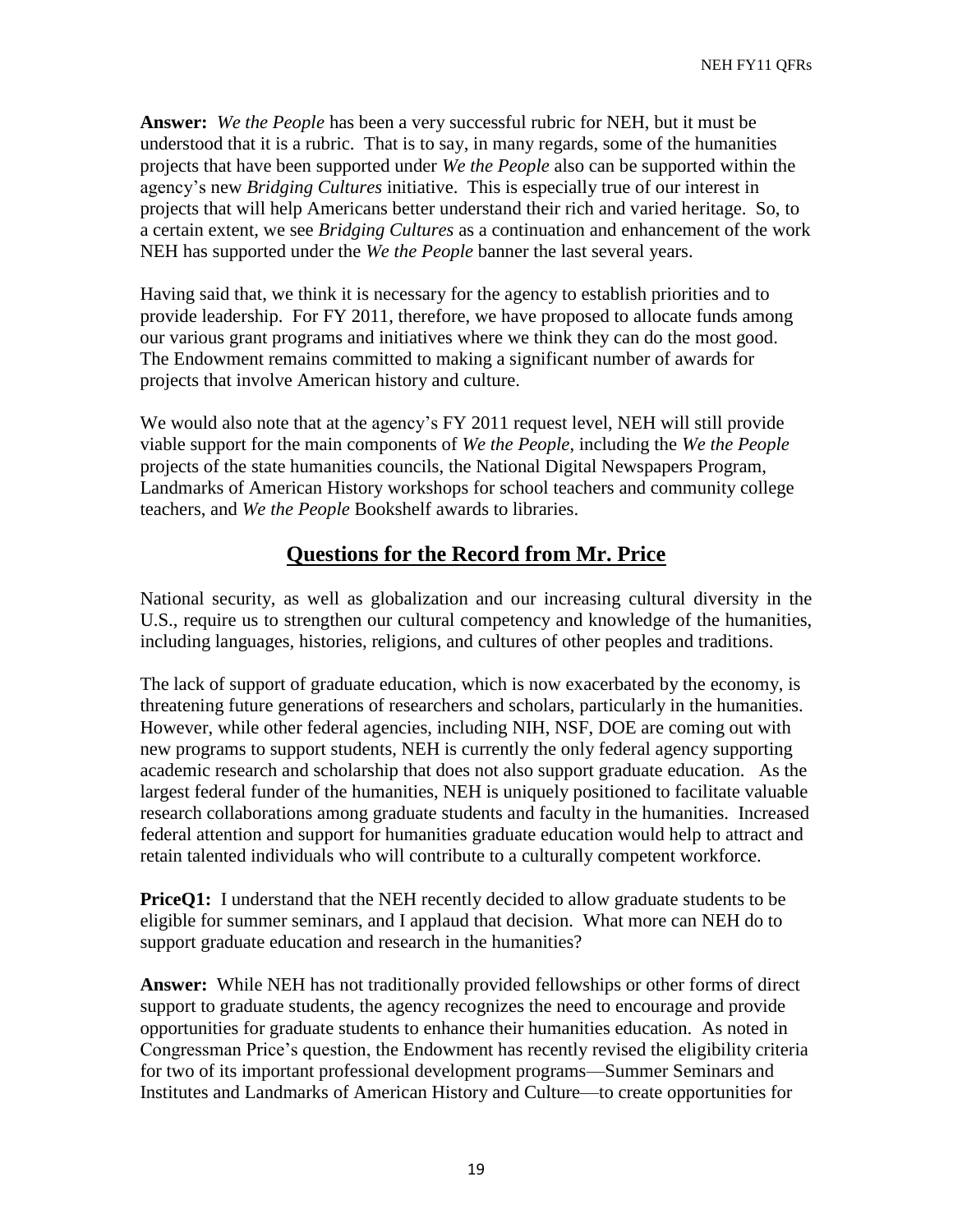**Answer:** *We the People* has been a very successful rubric for NEH, but it must be understood that it is a rubric. That is to say, in many regards, some of the humanities projects that have been supported under *We the People* also can be supported within the agency's new *Bridging Cultures* initiative. This is especially true of our interest in projects that will help Americans better understand their rich and varied heritage. So, to a certain extent, we see *Bridging Cultures* as a continuation and enhancement of the work NEH has supported under the *We the People* banner the last several years.

Having said that, we think it is necessary for the agency to establish priorities and to provide leadership. For FY 2011, therefore, we have proposed to allocate funds among our various grant programs and initiatives where we think they can do the most good. The Endowment remains committed to making a significant number of awards for projects that involve American history and culture.

We would also note that at the agency's FY 2011 request level, NEH will still provide viable support for the main components of *We the People*, including the *We the People* projects of the state humanities councils, the National Digital Newspapers Program, Landmarks of American History workshops for school teachers and community college teachers, and *We the People* Bookshelf awards to libraries.

# **Questions for the Record from Mr. Price**

National security, as well as globalization and our increasing cultural diversity in the U.S., require us to strengthen our cultural competency and knowledge of the humanities, including languages, histories, religions, and cultures of other peoples and traditions.

The lack of support of graduate education, which is now exacerbated by the economy, is threatening future generations of researchers and scholars, particularly in the humanities. However, while other federal agencies, including NIH, NSF, DOE are coming out with new programs to support students, NEH is currently the only federal agency supporting academic research and scholarship that does not also support graduate education. As the largest federal funder of the humanities, NEH is uniquely positioned to facilitate valuable research collaborations among graduate students and faculty in the humanities. Increased federal attention and support for humanities graduate education would help to attract and retain talented individuals who will contribute to a culturally competent workforce.

**PriceQ1:** I understand that the NEH recently decided to allow graduate students to be eligible for summer seminars, and I applaud that decision.What more can NEH do to support graduate education and research in the humanities?

**Answer:** While NEH has not traditionally provided fellowships or other forms of direct support to graduate students, the agency recognizes the need to encourage and provide opportunities for graduate students to enhance their humanities education. As noted in Congressman Price's question, the Endowment has recently revised the eligibility criteria for two of its important professional development programs—Summer Seminars and Institutes and Landmarks of American History and Culture—to create opportunities for